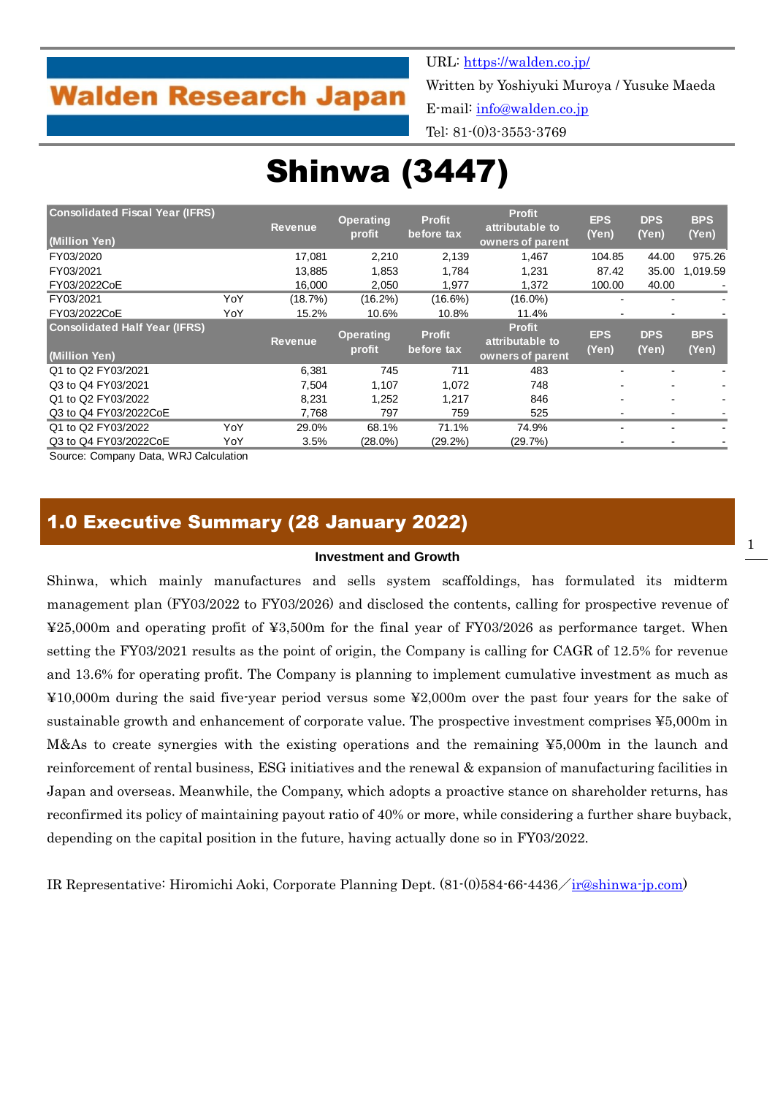## **Walden Research Japan**

URL:<https://walden.co.jp/>

Written by Yoshiyuki Muroya / Yusuke Maeda E-mail: [info@walden.co.jp](mailto:info@walden.co.jp)

Tel: 81-(0)3-3553-3769

# Shinwa (3447)

| <b>Consolidated Fiscal Year (IFRS)</b><br>(Million Yen) |     | <b>Revenue</b> | <b>Operating</b><br>profit | <b>Profit</b><br>before tax | <b>Profit</b><br>attributable to<br>owners of parent | <b>EPS</b><br>(Yen) | <b>DPS</b><br>(Yen) | <b>BPS</b><br>(Yen) |
|---------------------------------------------------------|-----|----------------|----------------------------|-----------------------------|------------------------------------------------------|---------------------|---------------------|---------------------|
| FY03/2020                                               |     | 17.081         | 2,210                      | 2,139                       | 1,467                                                | 104.85              | 44.00               | 975.26              |
| FY03/2021                                               |     | 13,885         | 1,853                      | 1.784                       | 1.231                                                | 87.42               | 35.00               | 1.019.59            |
| FY03/2022CoE                                            |     | 16,000         | 2,050                      | 1,977                       | 1,372                                                | 100.00              | 40.00               |                     |
| FY03/2021                                               | YoY | (18.7%)        | $(16.2\%)$                 | $(16.6\%)$                  | $(16.0\%)$                                           |                     |                     |                     |
| FY03/2022CoE                                            | YoY | 15.2%          | 10.6%                      | 10.8%                       | 11.4%                                                |                     |                     |                     |
| <b>Consolidated Half Year (IFRS)</b><br>(Million Yen)   |     | <b>Revenue</b> | <b>Operating</b><br>profit | <b>Profit</b><br>before tax | <b>Profit</b><br>attributable to<br>owners of parent | <b>EPS</b><br>(Yen) | <b>DPS</b><br>(Yen) | <b>BPS</b><br>(Yen) |
| Q1 to Q2 FY03/2021                                      |     | 6.381          | 745                        | 711                         | 483                                                  |                     |                     |                     |
| Q3 to Q4 FY03/2021                                      |     | 7,504          | 1,107                      | 1,072                       | 748                                                  |                     |                     |                     |
| Q1 to Q2 FY03/2022                                      |     | 8,231          | 1,252                      | 1,217                       | 846                                                  |                     |                     |                     |
| Q3 to Q4 FY03/2022CoE                                   |     | 7,768          | 797                        | 759                         | 525                                                  |                     |                     |                     |
| Q1 to Q2 FY03/2022                                      | YoY | 29.0%          | 68.1%                      | 71.1%                       | 74.9%                                                |                     |                     |                     |
| Q3 to Q4 FY03/2022CoE                                   | YoY | 3.5%           | $(28.0\%)$                 | $(29.2\%)$                  | (29.7%)                                              |                     |                     |                     |

Source: Company Data, WRJ Calculation

## 1.0 Executive Summary (28 January 2022)

#### **Investment and Growth**

Shinwa, which mainly manufactures and sells system scaffoldings, has formulated its midterm management plan (FY03/2022 to FY03/2026) and disclosed the contents, calling for prospective revenue of ¥25,000m and operating profit of ¥3,500m for the final year of FY03/2026 as performance target. When setting the FY03/2021 results as the point of origin, the Company is calling for CAGR of 12.5% for revenue and 13.6% for operating profit. The Company is planning to implement cumulative investment as much as ¥10,000m during the said five-year period versus some ¥2,000m over the past four years for the sake of sustainable growth and enhancement of corporate value. The prospective investment comprises ¥5,000m in M&As to create synergies with the existing operations and the remaining ¥5,000m in the launch and reinforcement of rental business, ESG initiatives and the renewal & expansion of manufacturing facilities in Japan and overseas. Meanwhile, the Company, which adopts a proactive stance on shareholder returns, has reconfirmed its policy of maintaining payout ratio of 40% or more, while considering a further share buyback, depending on the capital position in the future, having actually done so in FY03/2022.

IR Representative: Hiromichi Aoki, Corporate Planning Dept. (81-(0)584-66-4436/[ir@shinwa-jp.com\)](mailto:ir@shinwa-jp.com)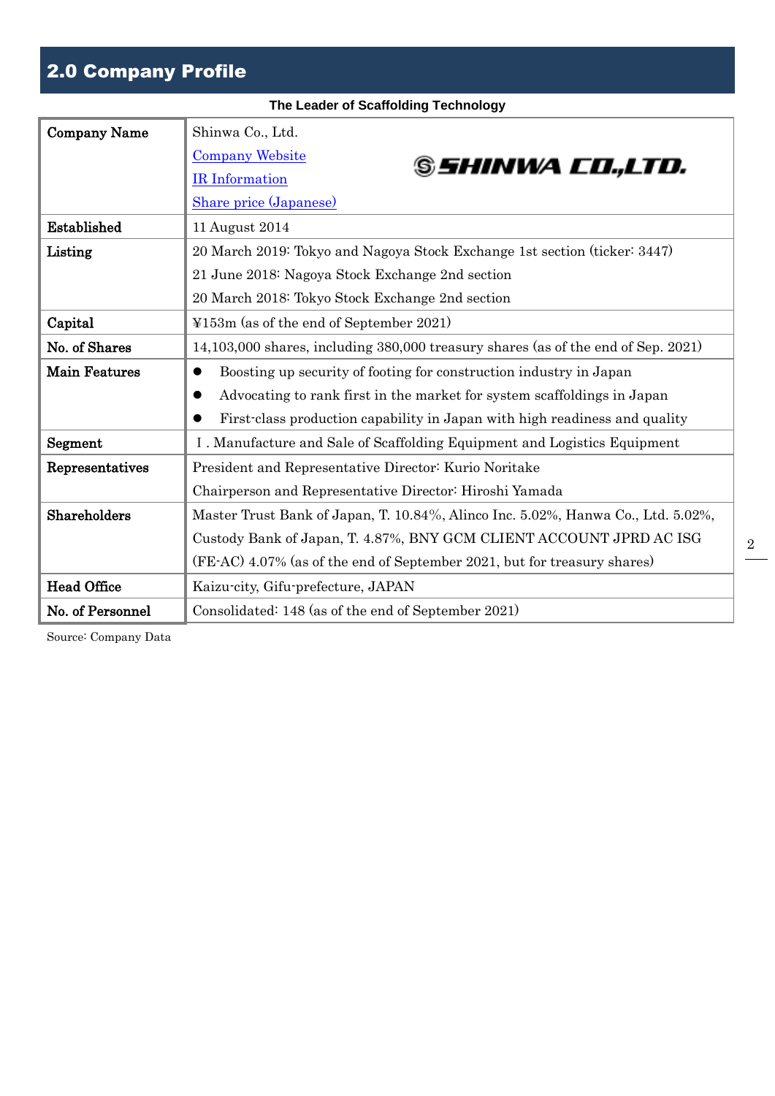## 2.0 Company Profile

|                      | The Leader of Scaffolding Technology                                              |
|----------------------|-----------------------------------------------------------------------------------|
| <b>Company Name</b>  | Shinwa Co., Ltd.                                                                  |
|                      | <b>Company Website</b><br>S <i>SHINWA CO.,LTD.</i>                                |
|                      | IR Information                                                                    |
|                      | Share price (Japanese)                                                            |
| Established          | 11 August 2014                                                                    |
| Listing              | 20 March 2019: Tokyo and Nagoya Stock Exchange 1st section (ticker: 3447)         |
|                      | 21 June 2018: Nagoya Stock Exchange 2nd section                                   |
|                      | 20 March 2018: Tokyo Stock Exchange 2nd section                                   |
| Capital              | ¥153m (as of the end of September 2021)                                           |
| No. of Shares        | 14,103,000 shares, including 380,000 treasury shares (as of the end of Sep. 2021) |
| <b>Main Features</b> | Boosting up security of footing for construction industry in Japan<br>$\bullet$   |
|                      | Advocating to rank first in the market for system scaffoldings in Japan           |
|                      | First-class production capability in Japan with high readiness and quality        |
| Segment              | I. Manufacture and Sale of Scaffolding Equipment and Logistics Equipment          |
| Representatives      | President and Representative Director: Kurio Noritake                             |
|                      | Chairperson and Representative Director: Hiroshi Yamada                           |
| Shareholders         | Master Trust Bank of Japan, T. 10.84%, Alinco Inc. 5.02%, Hanwa Co., Ltd. 5.02%,  |
|                      | Custody Bank of Japan, T. 4.87%, BNY GCM CLIENT ACCOUNT JPRD AC ISG               |
|                      | (FE-AC) 4.07% (as of the end of September 2021, but for treasury shares)          |
| <b>Head Office</b>   | Kaizu-city, Gifu-prefecture, JAPAN                                                |
| No. of Personnel     | Consolidated: 148 (as of the end of September 2021)                               |

2

Source: Company Data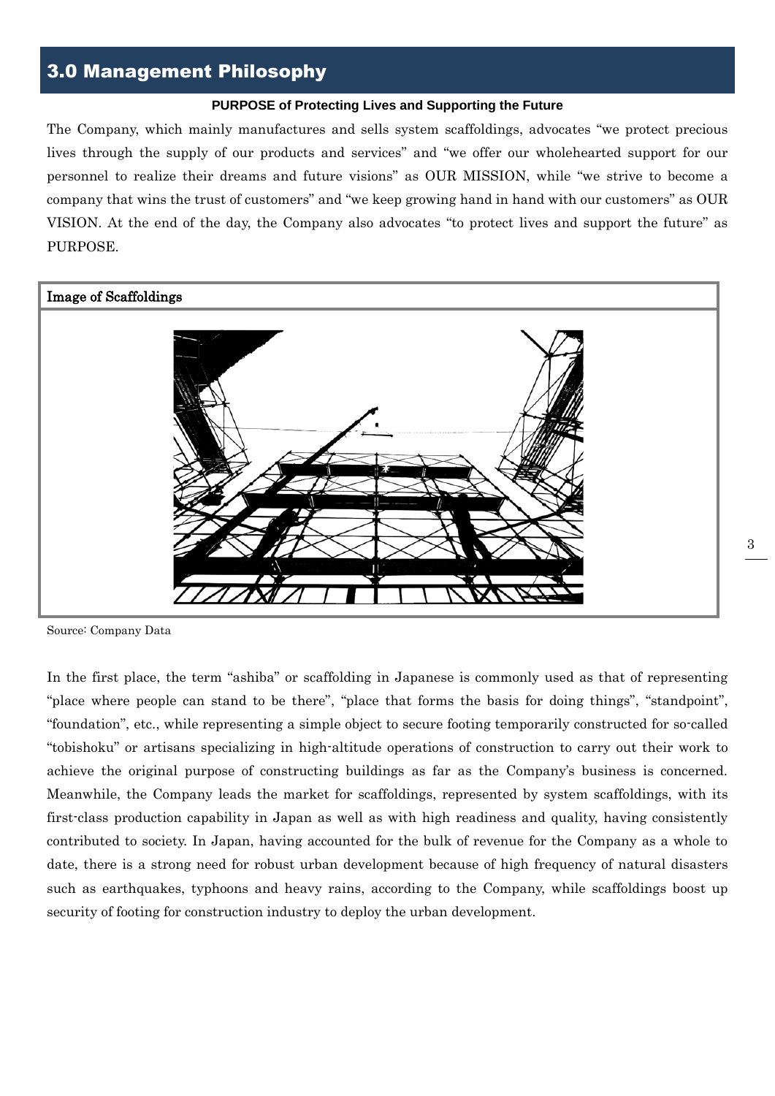## 3.0 Management Philosophy

#### **PURPOSE of Protecting Lives and Supporting the Future**

The Company, which mainly manufactures and sells system scaffoldings, advocates "we protect precious lives through the supply of our products and services" and "we offer our wholehearted support for our personnel to realize their dreams and future visions" as OUR MISSION, while "we strive to become a company that wins the trust of customers" and "we keep growing hand in hand with our customers" as OUR VISION. At the end of the day, the Company also advocates "to protect lives and support the future" as PURPOSE.



Source: Company Data

In the first place, the term "ashiba" or scaffolding in Japanese is commonly used as that of representing "place where people can stand to be there", "place that forms the basis for doing things", "standpoint", "foundation", etc., while representing a simple object to secure footing temporarily constructed for so-called "tobishoku" or artisans specializing in high-altitude operations of construction to carry out their work to achieve the original purpose of constructing buildings as far as the Company's business is concerned. Meanwhile, the Company leads the market for scaffoldings, represented by system scaffoldings, with its first-class production capability in Japan as well as with high readiness and quality, having consistently contributed to society. In Japan, having accounted for the bulk of revenue for the Company as a whole to date, there is a strong need for robust urban development because of high frequency of natural disasters such as earthquakes, typhoons and heavy rains, according to the Company, while scaffoldings boost up security of footing for construction industry to deploy the urban development.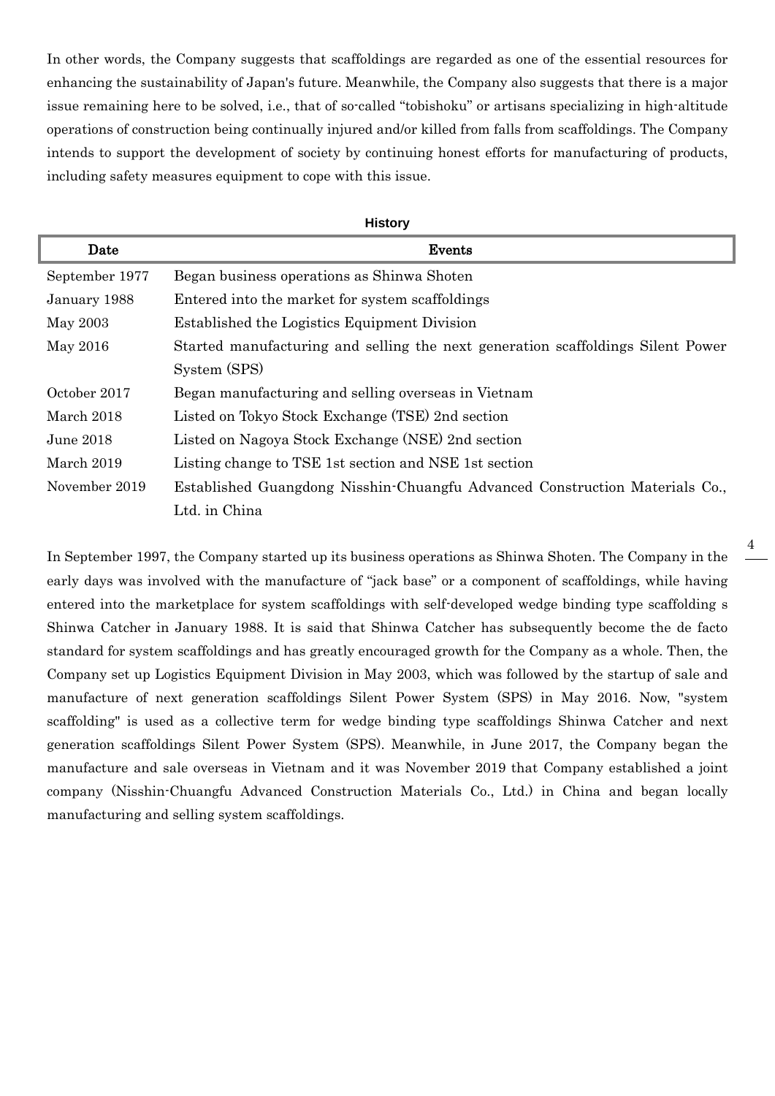In other words, the Company suggests that scaffoldings are regarded as one of the essential resources for enhancing the sustainability of Japan's future. Meanwhile, the Company also suggests that there is a major issue remaining here to be solved, i.e., that of so-called "tobishoku" or artisans specializing in high-altitude operations of construction being continually injured and/or killed from falls from scaffoldings. The Company intends to support the development of society by continuing honest efforts for manufacturing of products, including safety measures equipment to cope with this issue.

|                | <b>History</b>                                                                  |  |  |  |  |  |  |  |
|----------------|---------------------------------------------------------------------------------|--|--|--|--|--|--|--|
| Date           | Events                                                                          |  |  |  |  |  |  |  |
| September 1977 | Began business operations as Shinwa Shoten                                      |  |  |  |  |  |  |  |
| January 1988   | Entered into the market for system scaffoldings                                 |  |  |  |  |  |  |  |
| May 2003       | Established the Logistics Equipment Division                                    |  |  |  |  |  |  |  |
| May 2016       | Started manufacturing and selling the next generation scaffoldings Silent Power |  |  |  |  |  |  |  |
|                | System (SPS)                                                                    |  |  |  |  |  |  |  |
| October 2017   | Began manufacturing and selling overseas in Vietnam                             |  |  |  |  |  |  |  |
| March 2018     | Listed on Tokyo Stock Exchange (TSE) 2nd section                                |  |  |  |  |  |  |  |
| June 2018      | Listed on Nagoya Stock Exchange (NSE) 2nd section                               |  |  |  |  |  |  |  |
| March 2019     | Listing change to TSE 1st section and NSE 1st section                           |  |  |  |  |  |  |  |
| November 2019  | Established Guangdong Nisshin-Chuangfu Advanced Construction Materials Co.,     |  |  |  |  |  |  |  |
|                | Ltd. in China                                                                   |  |  |  |  |  |  |  |

In September 1997, the Company started up its business operations as Shinwa Shoten. The Company in the early days was involved with the manufacture of "jack base" or a component of scaffoldings, while having entered into the marketplace for system scaffoldings with self-developed wedge binding type scaffolding s Shinwa Catcher in January 1988. It is said that Shinwa Catcher has subsequently become the de facto standard for system scaffoldings and has greatly encouraged growth for the Company as a whole. Then, the Company set up Logistics Equipment Division in May 2003, which was followed by the startup of sale and manufacture of next generation scaffoldings Silent Power System (SPS) in May 2016. Now, "system scaffolding" is used as a collective term for wedge binding type scaffoldings Shinwa Catcher and next generation scaffoldings Silent Power System (SPS). Meanwhile, in June 2017, the Company began the manufacture and sale overseas in Vietnam and it was November 2019 that Company established a joint company (Nisshin-Chuangfu Advanced Construction Materials Co., Ltd.) in China and began locally manufacturing and selling system scaffoldings.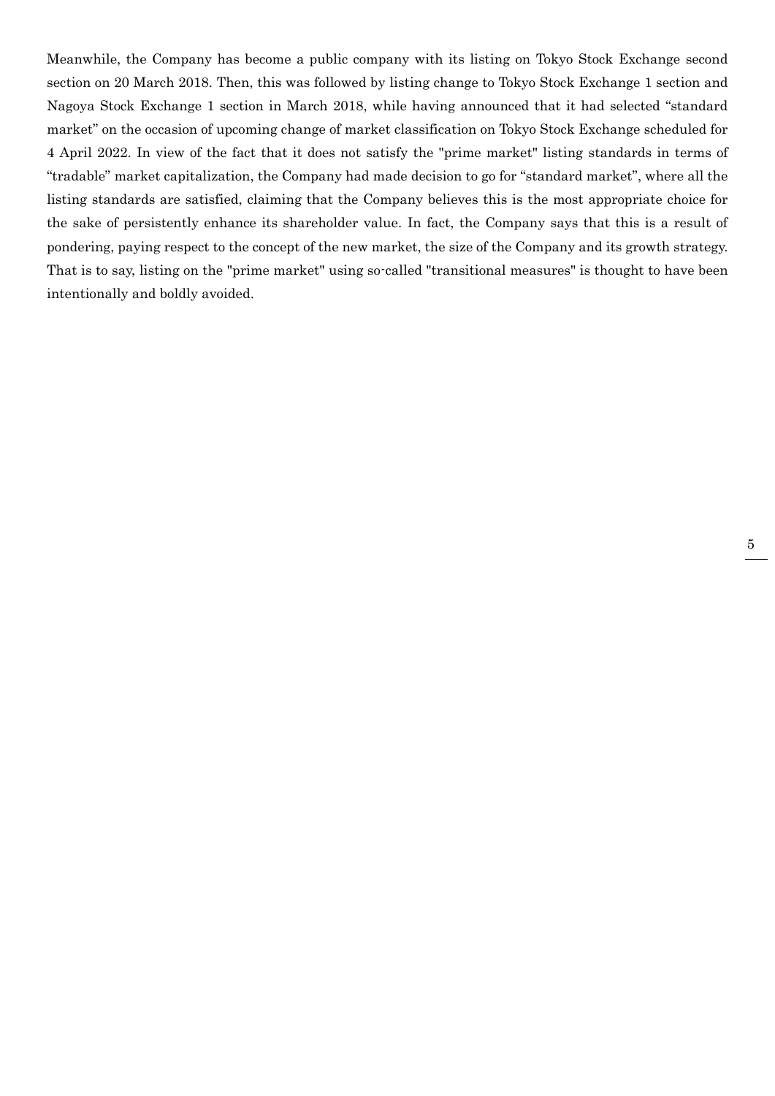Meanwhile, the Company has become a public company with its listing on Tokyo Stock Exchange second section on 20 March 2018. Then, this was followed by listing change to Tokyo Stock Exchange 1 section and Nagoya Stock Exchange 1 section in March 2018, while having announced that it had selected "standard market" on the occasion of upcoming change of market classification on Tokyo Stock Exchange scheduled for 4 April 2022. In view of the fact that it does not satisfy the "prime market" listing standards in terms of "tradable" market capitalization, the Company had made decision to go for "standard market", where all the listing standards are satisfied, claiming that the Company believes this is the most appropriate choice for the sake of persistently enhance its shareholder value. In fact, the Company says that this is a result of pondering, paying respect to the concept of the new market, the size of the Company and its growth strategy. That is to say, listing on the "prime market" using so-called "transitional measures" is thought to have been intentionally and boldly avoided.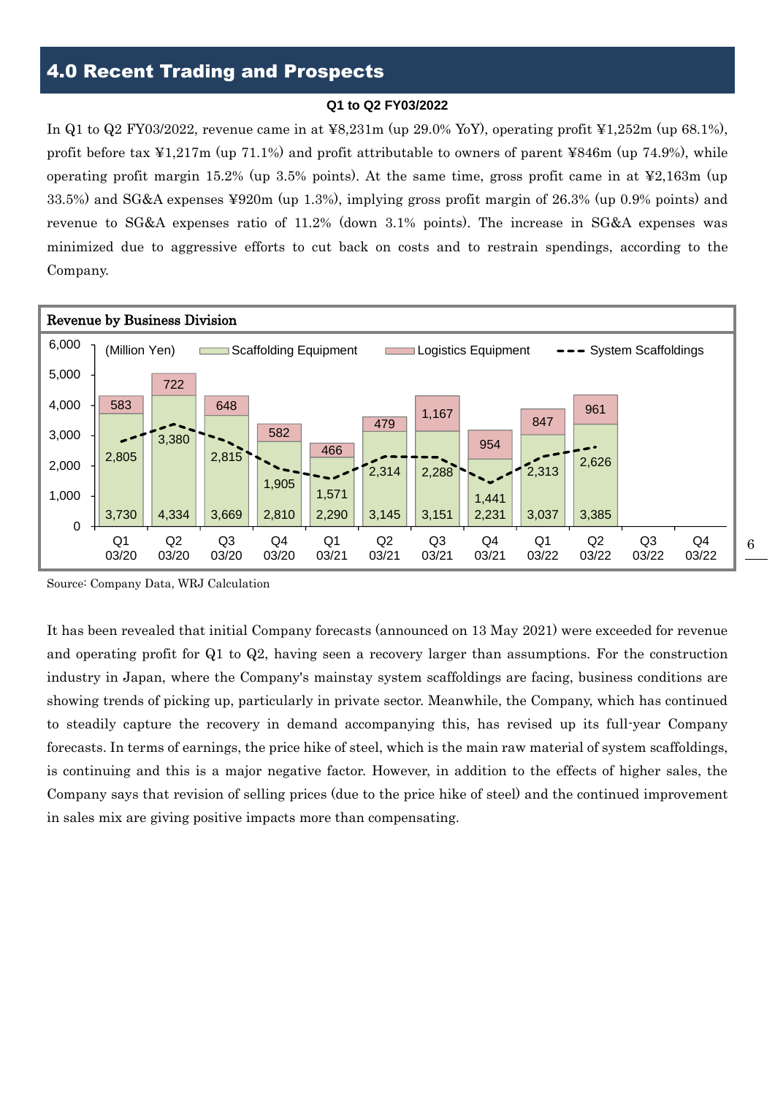#### **Q1 to Q2 FY03/2022**

In Q1 to Q2 FY03/2022, revenue came in at  $\text{\textless}8,231\text{m}$  (up 29.0% YoY), operating profit  $\text{\textless}1,252\text{m}$  (up 68.1%), profit before tax  $\angle 1,217$ m (up 71.1%) and profit attributable to owners of parent  $\angle 846$ m (up 74.9%), while operating profit margin 15.2% (up 3.5% points). At the same time, gross profit came in at  $\frac{12,163m}{\mu}$  (up 33.5%) and SG&A expenses ¥920m (up 1.3%), implying gross profit margin of 26.3% (up 0.9% points) and revenue to SG&A expenses ratio of 11.2% (down 3.1% points). The increase in SG&A expenses was minimized due to aggressive efforts to cut back on costs and to restrain spendings, according to the Company.



Source: Company Data, WRJ Calculation

It has been revealed that initial Company forecasts (announced on 13 May 2021) were exceeded for revenue and operating profit for Q1 to Q2, having seen a recovery larger than assumptions. For the construction industry in Japan, where the Company's mainstay system scaffoldings are facing, business conditions are showing trends of picking up, particularly in private sector. Meanwhile, the Company, which has continued to steadily capture the recovery in demand accompanying this, has revised up its full-year Company forecasts. In terms of earnings, the price hike of steel, which is the main raw material of system scaffoldings, is continuing and this is a major negative factor. However, in addition to the effects of higher sales, the Company says that revision of selling prices (due to the price hike of steel) and the continued improvement in sales mix are giving positive impacts more than compensating.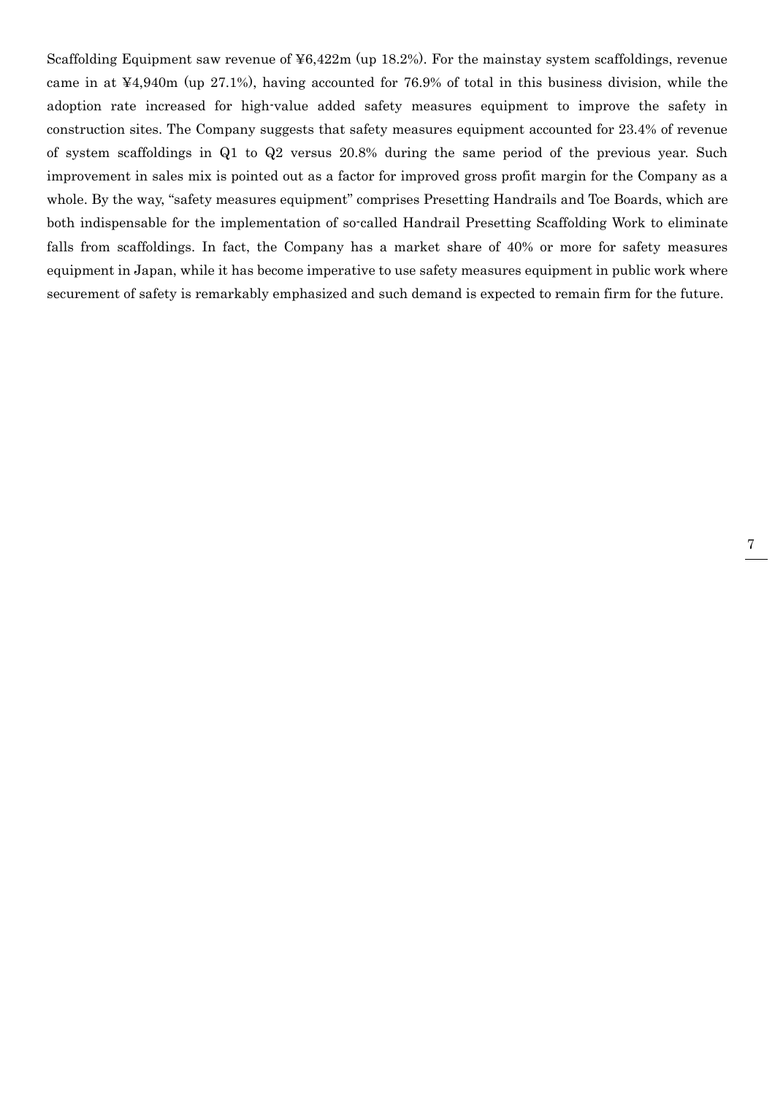Scaffolding Equipment saw revenue of  $46,422m$  (up 18.2%). For the mainstay system scaffoldings, revenue came in at ¥4,940m (up 27.1%), having accounted for 76.9% of total in this business division, while the adoption rate increased for high-value added safety measures equipment to improve the safety in construction sites. The Company suggests that safety measures equipment accounted for 23.4% of revenue of system scaffoldings in Q1 to Q2 versus 20.8% during the same period of the previous year. Such improvement in sales mix is pointed out as a factor for improved gross profit margin for the Company as a whole. By the way, "safety measures equipment" comprises Presetting Handrails and Toe Boards, which are both indispensable for the implementation of so-called Handrail Presetting Scaffolding Work to eliminate falls from scaffoldings. In fact, the Company has a market share of 40% or more for safety measures equipment in Japan, while it has become imperative to use safety measures equipment in public work where securement of safety is remarkably emphasized and such demand is expected to remain firm for the future.

7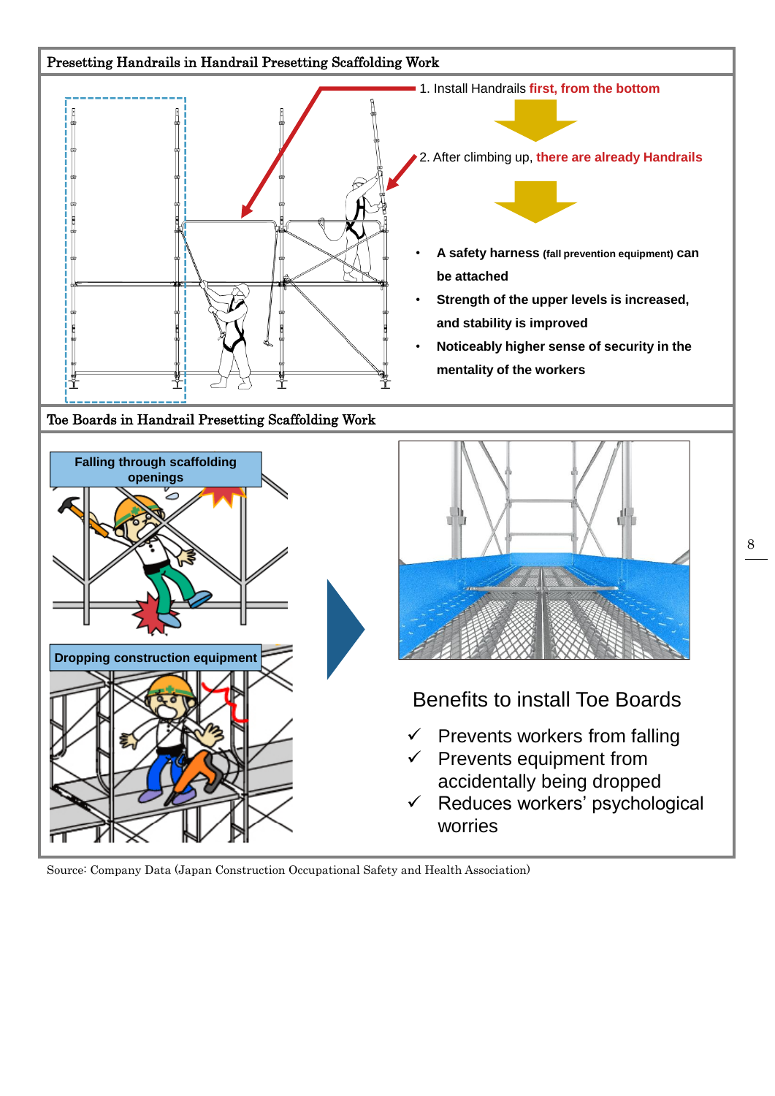

Source: Company Data (Japan Construction Occupational Safety and Health Association)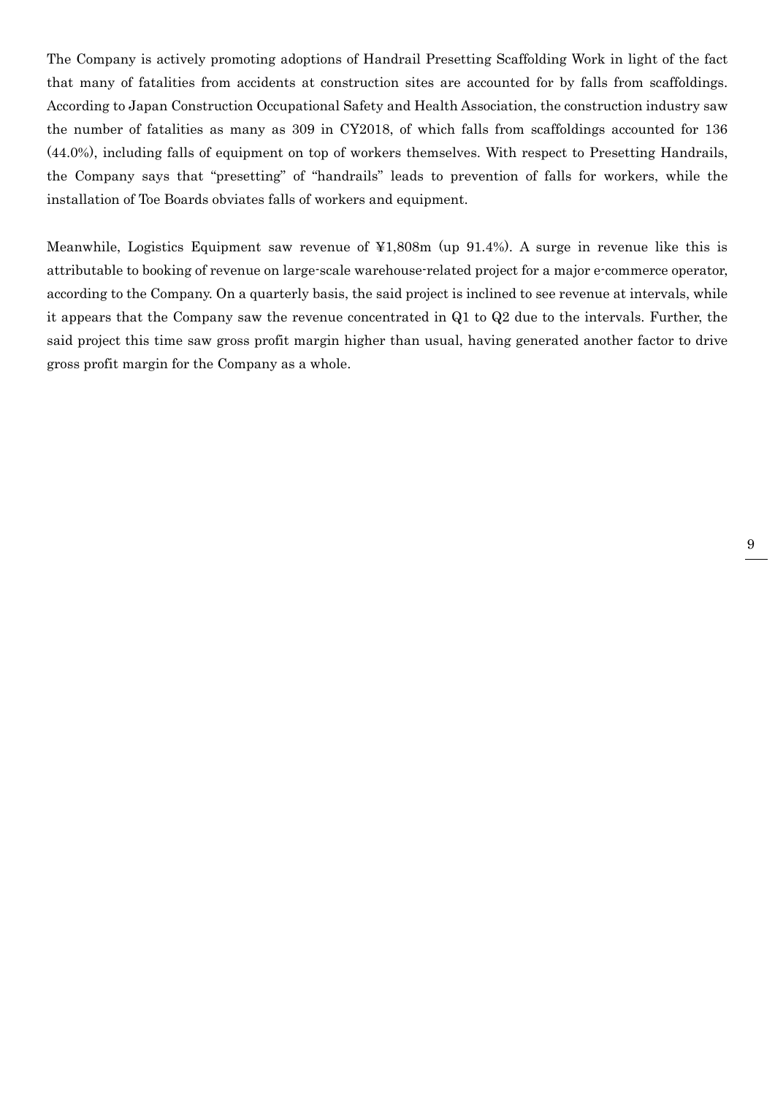The Company is actively promoting adoptions of Handrail Presetting Scaffolding Work in light of the fact that many of fatalities from accidents at construction sites are accounted for by falls from scaffoldings. According to Japan Construction Occupational Safety and Health Association, the construction industry saw the number of fatalities as many as 309 in CY2018, of which falls from scaffoldings accounted for 136 (44.0%), including falls of equipment on top of workers themselves. With respect to Presetting Handrails, the Company says that "presetting" of "handrails" leads to prevention of falls for workers, while the installation of Toe Boards obviates falls of workers and equipment.

Meanwhile, Logistics Equipment saw revenue of ¥1,808m (up 91.4%). A surge in revenue like this is attributable to booking of revenue on large-scale warehouse-related project for a major e-commerce operator, according to the Company. On a quarterly basis, the said project is inclined to see revenue at intervals, while it appears that the Company saw the revenue concentrated in Q1 to Q2 due to the intervals. Further, the said project this time saw gross profit margin higher than usual, having generated another factor to drive gross profit margin for the Company as a whole.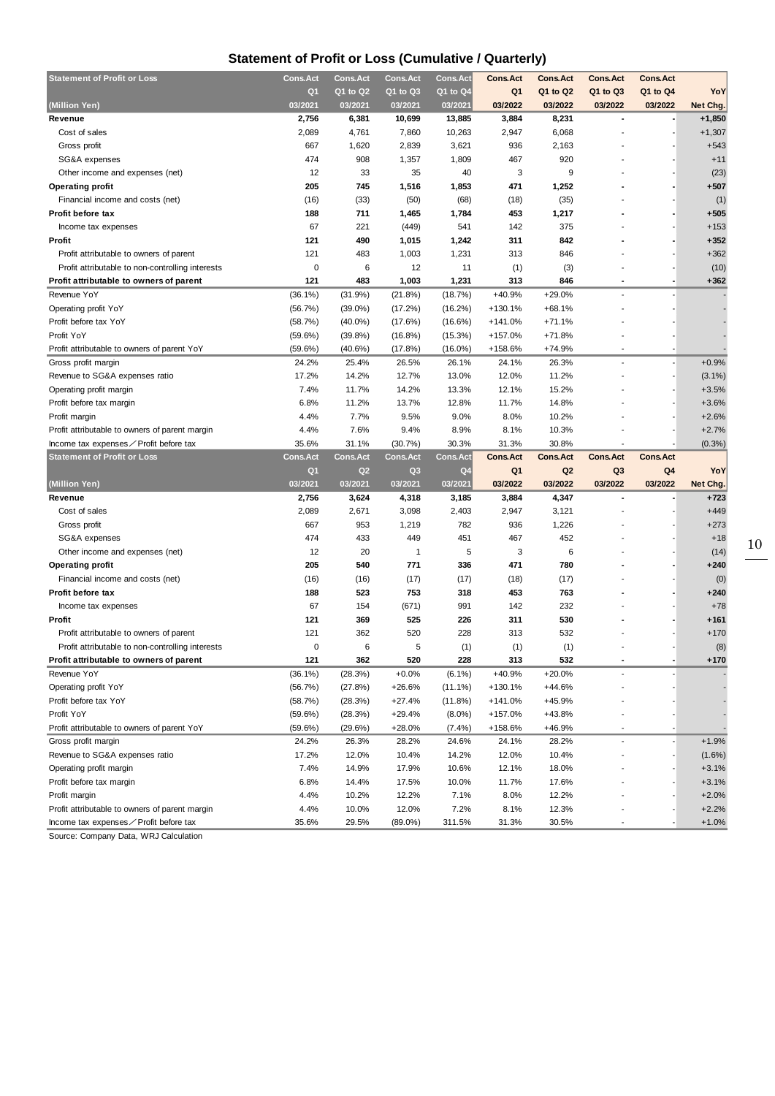## **Statement of Profit or Loss (Cumulative / Quarterly)**

| <b>Statement of Profit or Loss</b>                                                       | Cons.Act        | <b>Cons.Act</b>                   | <b>Cons.Act</b>     | <b>Cons.Act</b>            | <b>Cons.Act</b>           | <b>Cons.Act</b> | <b>Cons.Act</b>           | <b>Cons.Act</b> |                    |
|------------------------------------------------------------------------------------------|-----------------|-----------------------------------|---------------------|----------------------------|---------------------------|-----------------|---------------------------|-----------------|--------------------|
|                                                                                          | Q <sub>1</sub>  | Q1 to Q2                          | Q1 to Q3            | Q1 to Q4                   | Q <sub>1</sub>            | Q1 to Q2        | Q1 to Q3                  | Q1 to Q4        | YoY                |
| (Million Yen)                                                                            | 03/2021         | 03/2021                           | 03/2021             | 03/2021                    | 03/2022                   | 03/2022         | 03/2022                   | 03/2022         | Net Chg.           |
| Revenue                                                                                  | 2,756           | 6,381                             | 10,699              | 13,885                     | 3,884                     | 8,231           |                           |                 | $+1,850$           |
| Cost of sales                                                                            | 2,089           | 4,761                             | 7,860               | 10,263                     | 2,947                     | 6,068           |                           |                 | $+1,307$           |
| Gross profit                                                                             | 667             | 1,620                             | 2,839               | 3,621                      | 936                       | 2,163           |                           |                 | $+543$             |
| SG&A expenses                                                                            | 474             | 908                               | 1,357               | 1,809                      | 467                       | 920             |                           |                 | $+11$              |
| Other income and expenses (net)                                                          | 12              | 33                                | 35                  | 40                         | 3                         | 9               |                           |                 | (23)               |
| <b>Operating profit</b>                                                                  | 205             | 745                               | 1,516               | 1,853                      | 471                       | 1,252           |                           |                 | $+507$             |
| Financial income and costs (net)                                                         | (16)            | (33)                              | (50)                | (68)                       | (18)                      | (35)            |                           |                 | (1)                |
| Profit before tax                                                                        | 188             | 711                               | 1,465               | 1,784                      | 453                       | 1,217           |                           |                 | $+505$             |
| Income tax expenses                                                                      | 67              | 221                               | (449)               | 541                        | 142                       | 375             |                           |                 | $+153$             |
| Profit                                                                                   | 121             | 490                               | 1,015               | 1,242                      | 311                       | 842             |                           |                 | $+352$             |
| Profit attributable to owners of parent                                                  | 121             | 483                               | 1,003               | 1,231                      | 313                       | 846             |                           |                 | $+362$             |
| Profit attributable to non-controlling interests                                         | 0               | 6                                 | 12                  | 11                         | (1)                       | (3)             |                           |                 | (10)               |
| Profit attributable to owners of parent                                                  | 121             | 483                               | 1,003               | 1,231                      | 313                       | 846             | ٠                         |                 | $+362$             |
| Revenue YoY                                                                              | $(36.1\%)$      | (31.9%)                           | (21.8%)             | (18.7%)                    | $+40.9%$                  | $+29.0%$        | $\overline{a}$            |                 |                    |
| Operating profit YoY                                                                     | (56.7%)         | $(39.0\%)$                        | (17.2%)             | $(16.2\%)$                 | $+130.1%$                 | $+68.1%$        |                           |                 |                    |
| Profit before tax YoY                                                                    | (58.7%)         | $(40.0\%)$                        | (17.6%)             | (16.6%)                    | $+141.0%$                 | $+71.1%$        |                           |                 |                    |
| Profit YoY                                                                               | (59.6%)         | (39.8%)                           | (16.8%)             | (15.3%)                    | $+157.0%$                 | $+71.8%$        |                           |                 |                    |
| Profit attributable to owners of parent YoY                                              | (59.6%)         | (40.6%)                           | (17.8%)             | $(16.0\%)$                 | +158.6%                   | $+74.9%$        |                           |                 |                    |
| Gross profit margin                                                                      | 24.2%           | 25.4%                             | 26.5%               | 26.1%                      | 24.1%                     | 26.3%           | $\overline{a}$            |                 | $+0.9%$            |
| Revenue to SG&A expenses ratio                                                           | 17.2%           | 14.2%                             | 12.7%               | 13.0%                      | 12.0%                     | 11.2%           |                           |                 | $(3.1\%)$          |
| Operating profit margin                                                                  | 7.4%            | 11.7%                             | 14.2%               | 13.3%                      | 12.1%                     | 15.2%           |                           |                 | $+3.5%$            |
| Profit before tax margin                                                                 | 6.8%            | 11.2%                             | 13.7%               | 12.8%                      | 11.7%                     | 14.8%           |                           |                 | $+3.6%$            |
| Profit margin                                                                            | 4.4%            | 7.7%                              | 9.5%                | 9.0%                       | 8.0%                      | 10.2%           |                           |                 | $+2.6%$            |
| Profit attributable to owners of parent margin                                           | 4.4%            | 7.6%                              | 9.4%                | 8.9%                       | 8.1%                      | 10.3%           |                           |                 | $+2.7%$            |
| Income tax expenses∕Profit before tax                                                    | 35.6%           | 31.1%                             | (30.7%)             | 30.3%                      | 31.3%                     | 30.8%           |                           |                 | (0.3%              |
|                                                                                          |                 |                                   |                     |                            |                           |                 |                           |                 |                    |
|                                                                                          | <b>Cons.Act</b> |                                   | <b>Cons.Act</b>     |                            | <b>Cons.Act</b>           | <b>Cons.Act</b> | <b>Cons.Act</b>           | <b>Cons.Act</b> |                    |
| <b>Statement of Profit or Loss</b>                                                       | Q1              | <b>Cons.Act</b><br>Q <sub>2</sub> | Q <sub>3</sub>      | Cons.Act<br>Q <sub>4</sub> |                           | Q <sub>2</sub>  |                           |                 |                    |
| (Million Yen)                                                                            | 03/2021         | 03/2021                           | 03/2021             | 03/2021                    | Q <sub>1</sub><br>03/2022 | 03/2022         | Q <sub>3</sub><br>03/2022 | Q4<br>03/2022   | YoY<br>Net Chg.    |
| Revenue                                                                                  | 2,756           | 3,624                             | 4,318               | 3,185                      | 3,884                     | 4,347           |                           |                 | $+723$             |
| Cost of sales                                                                            | 2,089           | 2,671                             | 3,098               | 2,403                      | 2,947                     | 3,121           |                           |                 | $+449$             |
|                                                                                          | 667             |                                   |                     | 782                        | 936                       |                 |                           |                 |                    |
| Gross profit<br>SG&A expenses                                                            | 474             | 953<br>433                        | 1,219<br>449        | 451                        | 467                       | 1,226<br>452    |                           |                 | $+273$<br>$+18$    |
|                                                                                          | 12              | 20                                | $\mathbf{1}$        |                            | 3                         |                 |                           |                 |                    |
| Other income and expenses (net)                                                          | 205             | 540                               |                     | 5<br>336                   | 471                       | 6<br>780        |                           |                 | (14)<br>$+240$     |
| <b>Operating profit</b>                                                                  |                 |                                   | 771                 |                            |                           |                 |                           |                 |                    |
| Financial income and costs (net)<br>Profit before tax                                    | (16)<br>188     | (16)<br>523                       | (17)                | (17)<br>318                | (18)<br>453               | (17)<br>763     |                           |                 | (0)<br>+240        |
|                                                                                          | 67              | 154                               | 753                 | 991                        | 142                       | 232             |                           |                 | $+78$              |
| Income tax expenses                                                                      |                 |                                   | (671)               |                            |                           |                 |                           |                 |                    |
| Profit                                                                                   | 121             | 369                               | 525                 | 226                        | 311                       | 530             |                           |                 | +161               |
| Profit attributable to owners of parent                                                  | 121<br>0        | 362                               | 520                 | 228                        | 313                       | 532             |                           |                 | $+170$             |
| Profit attributable to non-controlling interests                                         |                 | 6                                 | 5                   | (1)                        | (1)                       | (1)             | $\blacksquare$            |                 | (8)                |
| Profit attributable to owners of parent                                                  | 121             | 362                               | 520                 | 228                        | 313                       | 532             |                           |                 | $+170$             |
| Revenue YoY                                                                              | $(36.1\%)$      | (28.3%)                           | $+0.0%$             | $(6.1\%)$                  | +40.9%                    | $+20.0%$        |                           |                 |                    |
| Operating profit YoY                                                                     | (56.7%)         | (27.8%)                           | $+26.6%$            | $(11.1\%)$                 | $+130.1%$                 | $+44.6%$        |                           |                 |                    |
| Profit before tax YoY                                                                    | (58.7%)         | (28.3%)                           | $+27.4%$            | (11.8%)                    | $+141.0%$                 | $+45.9%$        |                           |                 |                    |
| Profit YoY                                                                               | $(59.6\%)$      | (28.3%)                           | $+29.4%$            | $(8.0\%)$                  | +157.0%                   | $+43.8%$        |                           |                 |                    |
| Profit attributable to owners of parent YoY                                              | (59.6%)         | (29.6%)                           | $+28.0%$            | $(7.4\%)$                  | +158.6%                   | $+46.9%$        | ٠                         |                 |                    |
| Gross profit margin                                                                      | 24.2%           | 26.3%                             | 28.2%               | 24.6%                      | 24.1%                     | 28.2%           |                           |                 | $+1.9%$            |
| Revenue to SG&A expenses ratio                                                           | 17.2%           | 12.0%                             | 10.4%               | 14.2%                      | 12.0%                     | 10.4%           |                           |                 | $(1.6\%)$          |
| Operating profit margin                                                                  | 7.4%            | 14.9%                             | 17.9%               | 10.6%                      | 12.1%                     | 18.0%           |                           |                 | $+3.1%$            |
| Profit before tax margin                                                                 | 6.8%            | 14.4%                             | 17.5%               | 10.0%                      | 11.7%                     | 17.6%           |                           |                 | $+3.1%$            |
| Profit margin                                                                            | 4.4%            | 10.2%                             | 12.2%               | 7.1%                       | 8.0%                      | 12.2%           |                           |                 | $+2.0%$            |
| Profit attributable to owners of parent margin<br>Income tax expenses∕ Profit before tax | 4.4%<br>35.6%   | 10.0%<br>29.5%                    | 12.0%<br>$(89.0\%)$ | 7.2%<br>311.5%             | 8.1%<br>31.3%             | 12.3%<br>30.5%  |                           |                 | $+2.2%$<br>$+1.0%$ |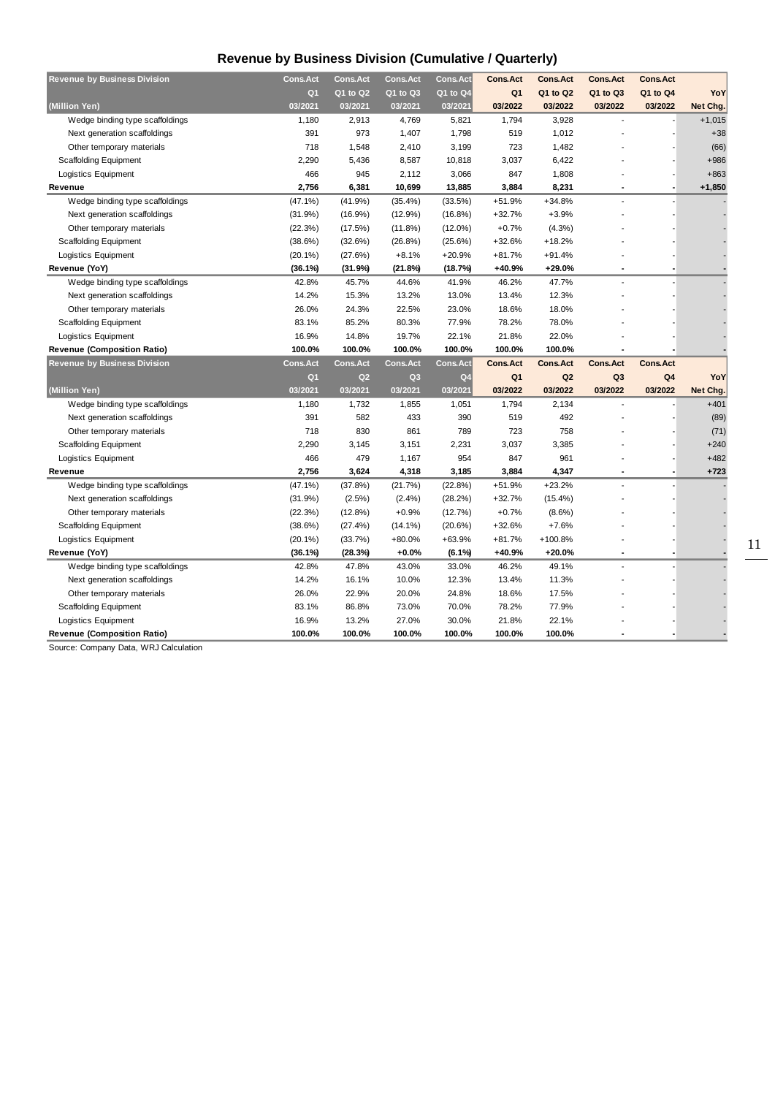## **Revenue by Business Division (Cumulative / Quarterly)**

| <b>Revenue by Business Division</b> | <b>Cons.Act</b> | <b>Cons.Act</b> | <b>Cons.Act</b> | <b>Cons.Act</b> | <b>Cons.Act</b> | <b>Cons.Act</b> | <b>Cons.Act</b> | <b>Cons.Act</b> |          |
|-------------------------------------|-----------------|-----------------|-----------------|-----------------|-----------------|-----------------|-----------------|-----------------|----------|
|                                     | Q <sub>1</sub>  | Q1 to Q2        | Q1 to Q3        | Q1 to Q4        | Q1              | Q1 to Q2        | Q1 to Q3        | Q1 to Q4        | YoY      |
| (Million Yen)                       | 03/2021         | 03/2021         | 03/2021         | 03/2021         | 03/2022         | 03/2022         | 03/2022         | 03/2022         | Net Chg. |
| Wedge binding type scaffoldings     | 1,180           | 2,913           | 4,769           | 5,821           | 1,794           | 3,928           | ÷,              |                 | $+1,015$ |
| Next generation scaffoldings        | 391             | 973             | 1,407           | 1,798           | 519             | 1,012           |                 |                 | $+38$    |
| Other temporary materials           | 718             | 1,548           | 2,410           | 3,199           | 723             | 1,482           |                 |                 | (66)     |
| <b>Scaffolding Equipment</b>        | 2,290           | 5,436           | 8,587           | 10,818          | 3,037           | 6,422           |                 |                 | $+986$   |
| Logistics Equipment                 | 466             | 945             | 2,112           | 3,066           | 847             | 1,808           |                 |                 | $+863$   |
| Revenue                             | 2,756           | 6,381           | 10,699          | 13,885          | 3,884           | 8,231           |                 |                 | $+1,850$ |
| Wedge binding type scaffoldings     | $(47.1\%)$      | (41.9%)         | $(35.4\%)$      | (33.5%)         | +51.9%          | $+34.8%$        | $\overline{a}$  |                 |          |
| Next generation scaffoldings        | (31.9%)         | $(16.9\%)$      | $(12.9\%)$      | $(16.8\%)$      | $+32.7%$        | $+3.9%$         |                 |                 |          |
| Other temporary materials           | (22.3%)         | (17.5%)         | $(11.8\%)$      | $(12.0\%)$      | $+0.7%$         | $(4.3\%)$       |                 |                 |          |
| Scaffolding Equipment               | (38.6%)         | (32.6%)         | (26.8%)         | (25.6%)         | +32.6%          | $+18.2%$        |                 |                 |          |
| Logistics Equipment                 | $(20.1\%)$      | (27.6%)         | $+8.1%$         | $+20.9%$        | $+81.7%$        | $+91.4%$        |                 |                 |          |
| Revenue (YoY)                       | (36.1%)         | (31.9%)         | (21.8%)         | (18.7%)         | +40.9%          | +29.0%          |                 |                 |          |
| Wedge binding type scaffoldings     | 42.8%           | 45.7%           | 44.6%           | 41.9%           | 46.2%           | 47.7%           |                 |                 |          |
| Next generation scaffoldings        | 14.2%           | 15.3%           | 13.2%           | 13.0%           | 13.4%           | 12.3%           |                 |                 |          |
| Other temporary materials           | 26.0%           | 24.3%           | 22.5%           | 23.0%           | 18.6%           | 18.0%           |                 |                 |          |
| <b>Scaffolding Equipment</b>        | 83.1%           | 85.2%           | 80.3%           | 77.9%           | 78.2%           | 78.0%           |                 |                 |          |
| Logistics Equipment                 | 16.9%           | 14.8%           | 19.7%           | 22.1%           | 21.8%           | 22.0%           |                 |                 |          |
| <b>Revenue (Composition Ratio)</b>  | 100.0%          | 100.0%          | 100.0%          | 100.0%          | 100.0%          | 100.0%          |                 |                 |          |
| <b>Revenue by Business Division</b> | <b>Cons.Act</b> | <b>Cons.Act</b> | <b>Cons.Act</b> | <b>Cons.Act</b> | <b>Cons.Act</b> | <b>Cons.Act</b> | <b>Cons.Act</b> | <b>Cons.Act</b> |          |
|                                     | Q <sub>1</sub>  | Q <sub>2</sub>  | Q <sub>3</sub>  | Q <sub>4</sub>  | Q <sub>1</sub>  | Q <sub>2</sub>  | Q <sub>3</sub>  | Q4              | YoY      |
| (Million Yen)                       | 03/2021         | 03/2021         | 03/2021         | 03/2021         | 03/2022         | 03/2022         | 03/2022         | 03/2022         | Net Chg. |
| Wedge binding type scaffoldings     | 1,180           | 1,732           | 1,855           | 1,051           | 1,794           | 2,134           | $\overline{a}$  |                 | $+401$   |
| Next generation scaffoldings        | 391             | 582             | 433             | 390             | 519             | 492             |                 |                 | (89)     |
| Other temporary materials           | 718             | 830             | 861             | 789             | 723             | 758             |                 |                 | (71)     |
| <b>Scaffolding Equipment</b>        | 2,290           | 3,145           | 3,151           | 2,231           | 3,037           | 3,385           |                 |                 | $+240$   |
| Logistics Equipment                 |                 |                 |                 |                 |                 |                 |                 |                 | $+482$   |
|                                     | 466             | 479             | 1,167           | 954             | 847             | 961             |                 |                 |          |
| Revenue                             | 2,756           | 3,624           | 4,318           | 3,185           | 3,884           | 4,347           | ÷               |                 | $+723$   |
| Wedge binding type scaffoldings     | $(47.1\%)$      | (37.8%)         | (21.7%)         | (22.8%)         | +51.9%          | $+23.2%$        |                 |                 |          |
| Next generation scaffoldings        | (31.9%)         | $(2.5\%)$       | $(2.4\%)$       | (28.2%)         | $+32.7%$        | $(15.4\%)$      |                 |                 |          |
| Other temporary materials           | (22.3%)         | $(12.8\%)$      | $+0.9%$         | (12.7%)         | $+0.7%$         | $(8.6\%)$       |                 |                 |          |
| Scaffolding Equipment               | (38.6%)         | (27.4%)         | $(14.1\%)$      | (20.6%)         | +32.6%          | $+7.6%$         |                 |                 |          |
| Logistics Equipment                 | $(20.1\%)$      | (33.7%)         | +80.0%          | $+63.9%$        | +81.7%          | +100.8%         |                 |                 |          |
| Revenue (YoY)                       | (36.1%)         | (28.3%)         | $+0.0%$         | $(6.1\%)$       | +40.9%          | +20.0%          |                 |                 |          |
| Wedge binding type scaffoldings     | 42.8%           | 47.8%           | 43.0%           | 33.0%           | 46.2%           | 49.1%           | $\overline{a}$  |                 |          |
| Next generation scaffoldings        | 14.2%           | 16.1%           | 10.0%           | 12.3%           | 13.4%           | 11.3%           |                 |                 |          |
| Other temporary materials           | 26.0%           | 22.9%           | 20.0%           | 24.8%           | 18.6%           | 17.5%           |                 |                 |          |
| <b>Scaffolding Equipment</b>        | 83.1%           | 86.8%           | 73.0%           | 70.0%           | 78.2%           | 77.9%           |                 |                 |          |
| Logistics Equipment                 | 16.9%           | 13.2%           | 27.0%           | 30.0%           | 21.8%           | 22.1%           |                 |                 |          |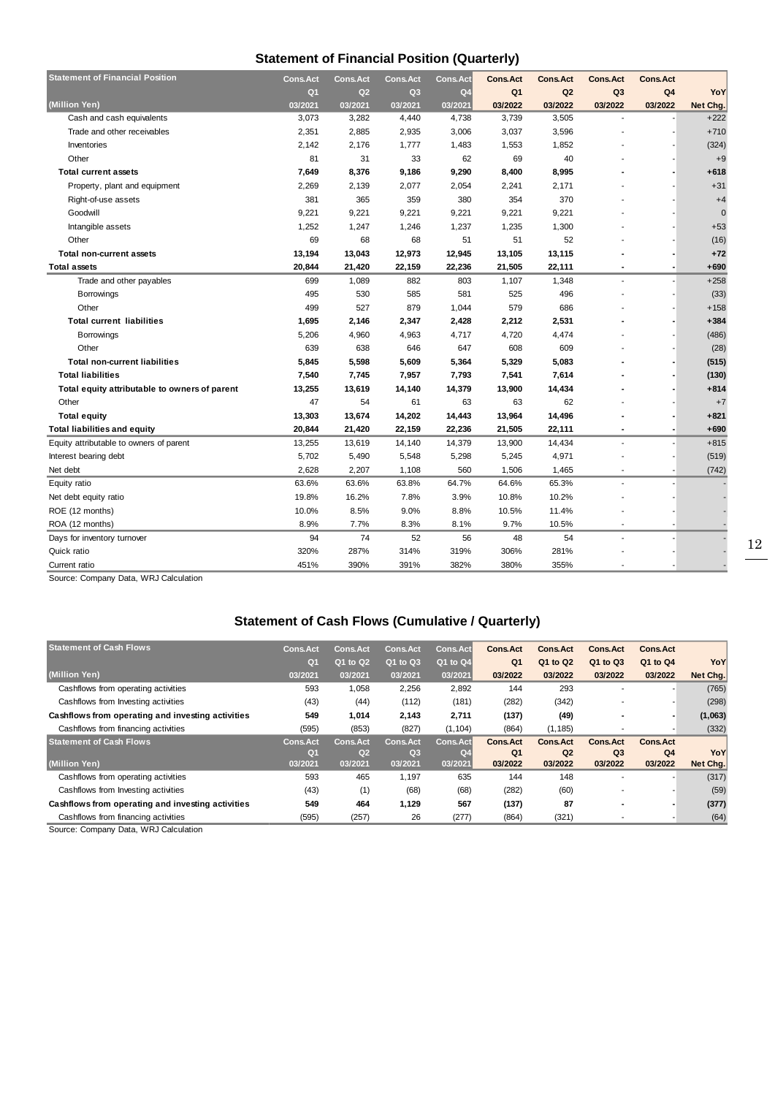### **Statement of Financial Position (Quarterly)**

| <b>Statement of Financial Position</b>        | <b>Cons.Act</b> | <b>Cons.Act</b> | Cons.Act       | <b>Cons.Act</b> | <b>Cons.Act</b> | <b>Cons.Act</b> | <b>Cons.Act</b> | <b>Cons.Act</b> |          |
|-----------------------------------------------|-----------------|-----------------|----------------|-----------------|-----------------|-----------------|-----------------|-----------------|----------|
|                                               | Q <sub>1</sub>  | Q <sub>2</sub>  | Q <sub>3</sub> | Q <sub>4</sub>  | Q <sub>1</sub>  | Q <sub>2</sub>  | Q <sub>3</sub>  | Q4              | YoY      |
| (Million Yen)                                 | 03/2021         | 03/2021         | 03/2021        | 03/2021         | 03/2022         | 03/2022         | 03/2022         | 03/2022         | Net Chg. |
| Cash and cash equivalents                     | 3,073           | 3,282           | 4,440          | 4,738           | 3,739           | 3,505           | $\overline{a}$  |                 | $+222$   |
| Trade and other receivables                   | 2,351           | 2,885           | 2,935          | 3,006           | 3,037           | 3,596           |                 |                 | $+710$   |
| Inventories                                   | 2,142           | 2,176           | 1,777          | 1,483           | 1,553           | 1,852           |                 |                 | (324)    |
| Other                                         | 81              | 31              | 33             | 62              | 69              | 40              |                 |                 | $+9$     |
| <b>Total current assets</b>                   | 7,649           | 8,376           | 9,186          | 9,290           | 8,400           | 8,995           |                 |                 | $+618$   |
| Property, plant and equipment                 | 2,269           | 2,139           | 2,077          | 2,054           | 2,241           | 2,171           |                 |                 | $+31$    |
| Right-of-use assets                           | 381             | 365             | 359            | 380             | 354             | 370             |                 |                 | $+4$     |
| Goodwill                                      | 9,221           | 9,221           | 9,221          | 9,221           | 9,221           | 9,221           |                 |                 | $\Omega$ |
| Intangible assets                             | 1,252           | 1,247           | 1,246          | 1,237           | 1,235           | 1,300           |                 |                 | $+53$    |
| Other                                         | 69              | 68              | 68             | 51              | 51              | 52              |                 |                 | (16)     |
| <b>Total non-current assets</b>               | 13,194          | 13,043          | 12,973         | 12,945          | 13,105          | 13,115          |                 |                 | $+72$    |
| <b>Total assets</b>                           | 20,844          | 21,420          | 22,159         | 22,236          | 21,505          | 22,111          |                 |                 | $+690$   |
| Trade and other payables                      | 699             | 1,089           | 882            | 803             | 1,107           | 1,348           | $\overline{a}$  |                 | $+258$   |
| <b>Borrowings</b>                             | 495             | 530             | 585            | 581             | 525             | 496             |                 |                 | (33)     |
| Other                                         | 499             | 527             | 879            | 1,044           | 579             | 686             |                 |                 | $+158$   |
| <b>Total current liabilities</b>              | 1,695           | 2,146           | 2,347          | 2,428           | 2,212           | 2,531           |                 |                 | $+384$   |
| Borrowings                                    | 5,206           | 4,960           | 4,963          | 4,717           | 4,720           | 4,474           |                 |                 | (486)    |
| Other                                         | 639             | 638             | 646            | 647             | 608             | 609             |                 |                 | (28)     |
| <b>Total non-current liabilities</b>          | 5,845           | 5,598           | 5,609          | 5,364           | 5,329           | 5,083           |                 |                 | (515)    |
| <b>Total liabilities</b>                      | 7,540           | 7,745           | 7,957          | 7,793           | 7,541           | 7,614           |                 |                 | (130)    |
| Total equity attributable to owners of parent | 13,255          | 13,619          | 14,140         | 14,379          | 13,900          | 14,434          |                 |                 | $+814$   |
| Other                                         | 47              | 54              | 61             | 63              | 63              | 62              |                 |                 | $+7$     |
| <b>Total equity</b>                           | 13,303          | 13,674          | 14,202         | 14,443          | 13,964          | 14,496          |                 |                 | $+821$   |
| <b>Total liabilities and equity</b>           | 20,844          | 21,420          | 22,159         | 22,236          | 21,505          | 22,111          | $\blacksquare$  |                 | $+690$   |
| Equity attributable to owners of parent       | 13,255          | 13,619          | 14,140         | 14,379          | 13,900          | 14,434          | ÷.              |                 | $+815$   |
| Interest bearing debt                         | 5,702           | 5,490           | 5,548          | 5,298           | 5,245           | 4,971           |                 |                 | (519)    |
| Net debt                                      | 2,628           | 2,207           | 1,108          | 560             | 1,506           | 1,465           | $\overline{a}$  |                 | (742)    |
| Equity ratio                                  | 63.6%           | 63.6%           | 63.8%          | 64.7%           | 64.6%           | 65.3%           | $\overline{a}$  |                 |          |
| Net debt equity ratio                         | 19.8%           | 16.2%           | 7.8%           | 3.9%            | 10.8%           | 10.2%           |                 |                 |          |
| ROE (12 months)                               | 10.0%           | 8.5%            | 9.0%           | 8.8%            | 10.5%           | 11.4%           |                 |                 |          |
| ROA (12 months)                               | 8.9%            | 7.7%            | 8.3%           | 8.1%            | 9.7%            | 10.5%           |                 |                 |          |
| Days for inventory turnover                   | 94              | 74              | 52             | 56              | 48              | 54              | $\overline{a}$  |                 |          |
| Quick ratio                                   | 320%            | 287%            | 314%           | 319%            | 306%            | 281%            |                 |                 |          |
| Current ratio                                 | 451%            | 390%            | 391%           | 382%            | 380%            | 355%            |                 |                 |          |

Source: Company Data, WRJ Calculation

### **Statement of Cash Flows (Cumulative / Quarterly)**

| <b>Statement of Cash Flows</b>                    | <b>Cons.Act</b> | <b>Cons.Act</b> | <b>Cons.Act</b> | <b>Cons.Act</b> | <b>Cons.Act</b> | <b>Cons.Act</b> | <b>Cons.Act</b> | <b>Cons.Act</b> |          |
|---------------------------------------------------|-----------------|-----------------|-----------------|-----------------|-----------------|-----------------|-----------------|-----------------|----------|
|                                                   | Q <sub>1</sub>  | Q1 to Q2        | $Q1$ to $Q3$    | Q1 to Q4        | Q <sub>1</sub>  | Q1 to Q2        | Q1 to Q3        | Q1 to Q4        | YoY      |
| (Million Yen)                                     | 03/2021         | 03/2021         | 03/2021         | 03/2021         | 03/2022         | 03/2022         | 03/2022         | 03/2022         | Net Chg. |
| Cashflows from operating activities               | 593             | 1,058           | 2,256           | 2,892           | 144             | 293             |                 |                 | (765)    |
| Cashflows from Investing activities               | (43)            | (44)            | (112)           | (181)           | (282)           | (342)           |                 |                 | (298)    |
| Cashflows from operating and investing activities | 549             | 1,014           | 2,143           | 2,711           | (137)           | (49)            |                 |                 | (1,063)  |
| Cashflows from financing activities               | (595)           | (853)           | (827)           | (1, 104)        | (864)           | (1, 185)        |                 |                 | (332)    |
| <b>Statement of Cash Flows</b>                    | <b>Cons.Act</b> | <b>Cons.Act</b> | <b>Cons.Act</b> | <b>Cons.Act</b> | <b>Cons.Act</b> | <b>Cons.Act</b> | <b>Cons.Act</b> | <b>Cons.Act</b> |          |
|                                                   | Q <sub>1</sub>  | Q <sub>2</sub>  | Q <sub>3</sub>  | $\Omega$        | Q <sub>1</sub>  | Q2              | Q <sub>3</sub>  | Q <sub>4</sub>  | YoY      |
| (Million Yen)                                     | 03/2021         | 03/2021         | 03/2021         | 03/2021         | 03/2022         | 03/2022         | 03/2022         | 03/2022         | Net Chg. |
| Cashflows from operating activities               | 593             | 465             | 1.197           | 635             | 144             | 148             |                 |                 | (317)    |
| Cashflows from Investing activities               | (43)            | (1)             | (68)            | (68)            | (282)           | (60)            |                 |                 | (59)     |
| Cashflows from operating and investing activities | 549             | 464             | 1,129           | 567             | (137)           | 87              |                 |                 | (377)    |
| Cashflows from financing activities               | (595)           | (257)           | 26              | (277)           | (864)           | (321)           |                 |                 | (64)     |
| Course: Company Data, WD   Coloulation            |                 |                 |                 |                 |                 |                 |                 |                 |          |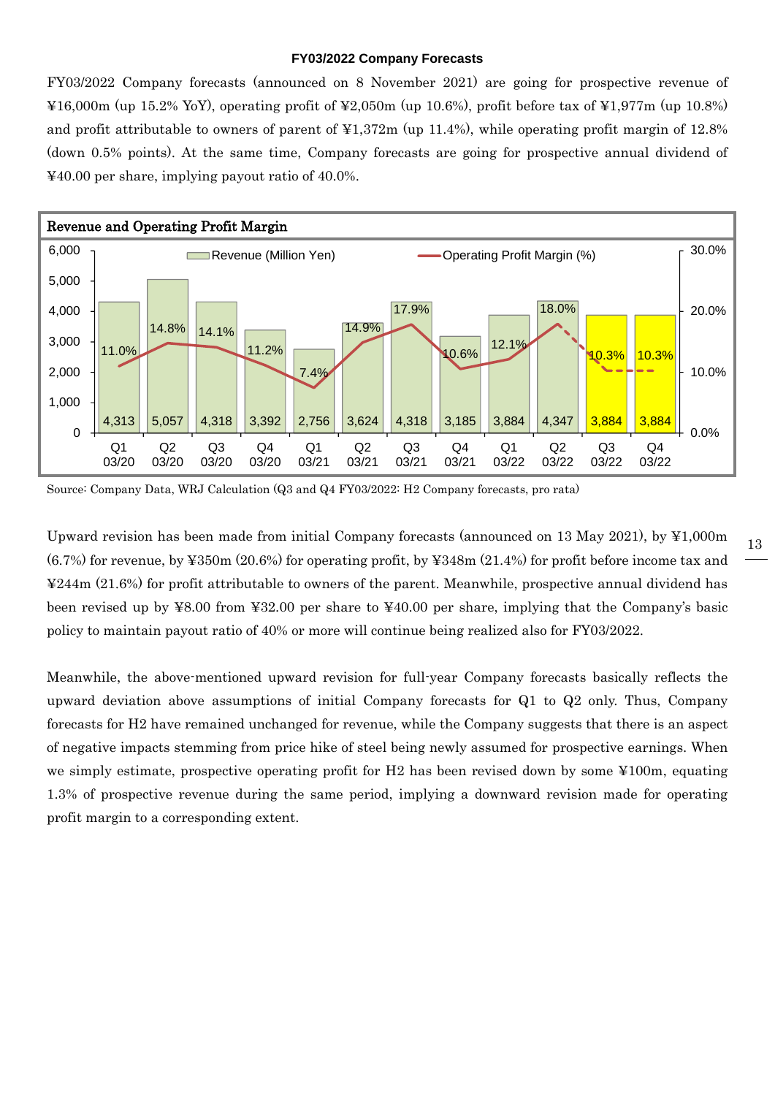#### **FY03/2022 Company Forecasts**

FY03/2022 Company forecasts (announced on 8 November 2021) are going for prospective revenue of  $\text{\textsterling}16,000\text{m}$  (up 15.2% YoY), operating profit of  $\text{\textsterling}2,050\text{m}$  (up 10.6%), profit before tax of  $\text{\textsterling}1,977\text{m}$  (up 10.8%) and profit attributable to owners of parent of  $\frac{12,372m}{\text{up }11.4\%}$ , while operating profit margin of 12.8% (down 0.5% points). At the same time, Company forecasts are going for prospective annual dividend of ¥40.00 per share, implying payout ratio of 40.0%.



Source: Company Data, WRJ Calculation (Q3 and Q4 FY03/2022: H2 Company forecasts, pro rata)

Upward revision has been made from initial Company forecasts (announced on 13 May 2021), by ¥1,000m (6.7%) for revenue, by ¥350m (20.6%) for operating profit, by ¥348m (21.4%) for profit before income tax and ¥244m (21.6%) for profit attributable to owners of the parent. Meanwhile, prospective annual dividend has been revised up by ¥8.00 from ¥32.00 per share to ¥40.00 per share, implying that the Company's basic policy to maintain payout ratio of 40% or more will continue being realized also for FY03/2022.

Meanwhile, the above-mentioned upward revision for full-year Company forecasts basically reflects the upward deviation above assumptions of initial Company forecasts for Q1 to Q2 only. Thus, Company forecasts for H2 have remained unchanged for revenue, while the Company suggests that there is an aspect of negative impacts stemming from price hike of steel being newly assumed for prospective earnings. When we simply estimate, prospective operating profit for H2 has been revised down by some ¥100m, equating 1.3% of prospective revenue during the same period, implying a downward revision made for operating profit margin to a corresponding extent.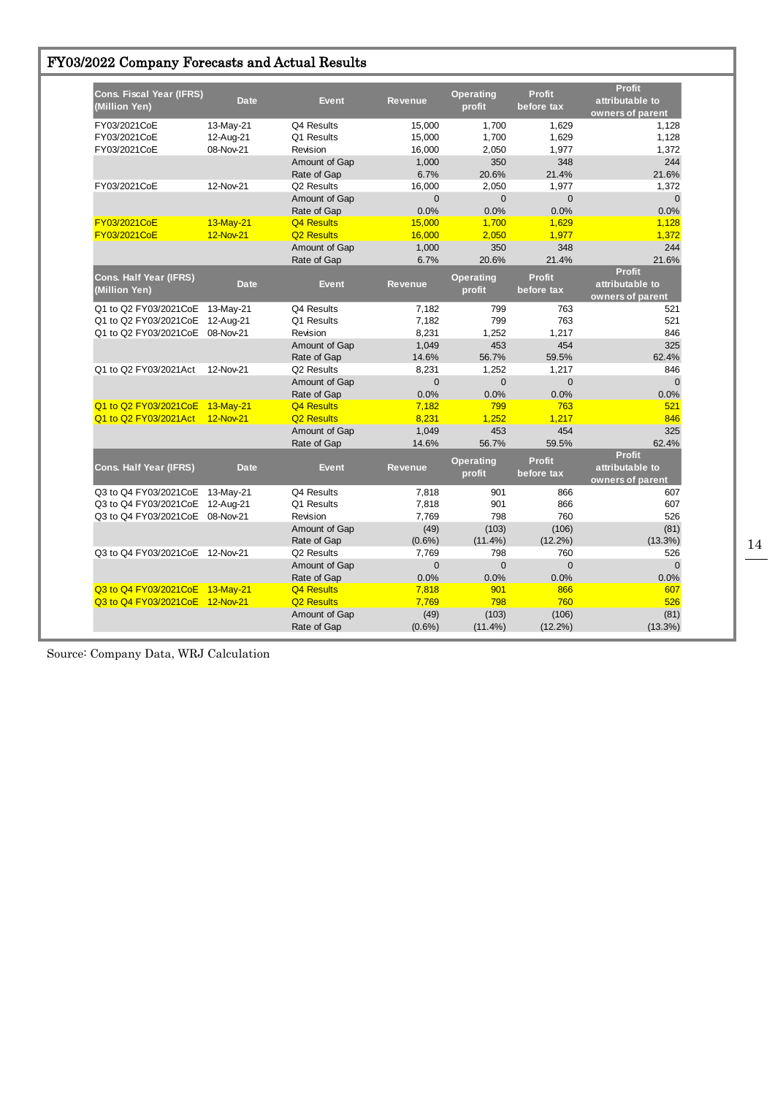| FY03/2022 Company Forecasts and Actual Results |  |  |  |  |  |
|------------------------------------------------|--|--|--|--|--|
|------------------------------------------------|--|--|--|--|--|

| <b>Cons. Fiscal Year (IFRS)</b><br>(Million Yen) | <b>Date</b> | <b>Event</b>           | <b>Revenue</b> | <b>Operating</b><br>profit | <b>Profit</b><br>before tax | <b>Profit</b><br>attributable to<br>owners of parent |
|--------------------------------------------------|-------------|------------------------|----------------|----------------------------|-----------------------------|------------------------------------------------------|
| FY03/2021CoE                                     | 13-May-21   | Q4 Results             | 15,000         | 1.700                      | 1.629                       | 1,128                                                |
| FY03/2021CoE                                     | 12-Aug-21   | Q1 Results             | 15,000         | 1,700                      | 1,629                       | 1,128                                                |
| FY03/2021CoE                                     | 08-Nov-21   | Revision               | 16,000         | 2,050                      | 1,977                       | 1,372                                                |
|                                                  |             | Amount of Gap          | 1,000          | 350                        | 348                         | 244                                                  |
|                                                  |             | Rate of Gap            | 6.7%           | 20.6%                      | 21.4%                       | 21.6%                                                |
| FY03/2021CoE                                     | 12-Nov-21   | Q2 Results             | 16,000         | 2,050                      | 1,977                       | 1,372                                                |
|                                                  |             | Amount of Gap          | $\mathbf 0$    | $\mathbf 0$                | $\mathbf 0$                 | $\overline{0}$                                       |
|                                                  |             | Rate of Gap            | 0.0%           | 0.0%                       | 0.0%                        | 0.0%                                                 |
| FY03/2021CoE                                     | 13-May-21   | Q4 Results             | 15,000         | 1,700                      | 1,629                       | 1,128                                                |
| FY03/2021CoE                                     | 12-Nov-21   | Q <sub>2</sub> Results | 16,000         | 2.050                      | 1,977                       | 1,372                                                |
|                                                  |             | Amount of Gap          | 1,000          | 350                        | 348                         | 244                                                  |
|                                                  |             | Rate of Gap            | 6.7%           | 20.6%                      | 21.4%                       | 21.6%                                                |
| <b>Cons. Half Year (IFRS)</b><br>(Million Yen)   | <b>Date</b> | <b>Event</b>           | <b>Revenue</b> | <b>Operating</b><br>profit | <b>Profit</b><br>before tax | <b>Profit</b><br>attributable to<br>owners of parent |
| Q1 to Q2 FY03/2021CoE                            | 13-May-21   | Q4 Results             | 7,182          | 799                        | 763                         | 521                                                  |
| Q1 to Q2 FY03/2021CoE                            | 12-Aug-21   | Q1 Results             | 7,182          | 799                        | 763                         | 521                                                  |
| Q1 to Q2 FY03/2021CoE                            | 08-Nov-21   | Revision               | 8,231          | 1,252                      | 1,217                       | 846                                                  |
|                                                  |             | Amount of Gap          | 1,049          | 453                        | 454                         | 325                                                  |
|                                                  |             | Rate of Gap            | 14.6%          | 56.7%                      | 59.5%                       | 62.4%                                                |
| Q1 to Q2 FY03/2021Act                            | 12-Nov-21   | Q2 Results             | 8,231          | 1,252                      | 1,217                       | 846                                                  |
|                                                  |             | Amount of Gap          | $\mathbf{0}$   | $\mathbf{0}$               | $\mathbf 0$                 | $\mathbf 0$                                          |
|                                                  |             | Rate of Gap            | 0.0%           | 0.0%                       | 0.0%                        | 0.0%                                                 |
| Q1 to Q2 FY03/2021CoE                            | 13-May-21   | <b>Q4 Results</b>      | 7,182          | 799                        | 763                         | 521                                                  |
| Q1 to Q2 FY03/2021Act                            | 12-Nov-21   | <b>Q2 Results</b>      | 8,231          | 1,252                      | 1.217                       | 846                                                  |
|                                                  |             | Amount of Gap          | 1,049          | 453                        | 454                         | 325                                                  |
|                                                  |             | Rate of Gap            | 14.6%          | 56.7%                      | 59.5%                       | 62.4%                                                |
| Cons. Half Year (IFRS)                           | <b>Date</b> | <b>Event</b>           | <b>Revenue</b> | <b>Operating</b><br>profit | <b>Profit</b><br>before tax | <b>Profit</b><br>attributable to<br>owners of parent |
| Q3 to Q4 FY03/2021CoE 13-May-21                  |             | Q4 Results             | 7,818          | 901                        | 866                         | 607                                                  |
| Q3 to Q4 FY03/2021CoE                            | 12-Aug-21   | Q1 Results             | 7,818          | 901                        | 866                         | 607                                                  |
| Q3 to Q4 FY03/2021CoE 08-Nov-21                  |             | Revision               | 7,769          | 798                        | 760                         | 526                                                  |
|                                                  |             | Amount of Gap          | (49)           | (103)                      | (106)                       | (81)                                                 |
|                                                  |             | Rate of Gap            | $(0.6\%)$      | $(11.4\%)$                 | $(12.2\%)$                  | $(13.3\%)$                                           |
| Q3 to Q4 FY03/2021CoE 12-Nov-21                  |             | Q2 Results             | 7,769          | 798                        | 760                         | 526                                                  |
|                                                  |             | Amount of Gap          | $\mathbf 0$    | $\overline{0}$             | $\overline{0}$              | $\mathbf{0}$                                         |
|                                                  |             | Rate of Gap            | 0.0%           | 0.0%                       | 0.0%                        | 0.0%                                                 |
| Q3 to Q4 FY03/2021CoE 13-May-21                  |             | <b>Q4 Results</b>      | 7,818          | 901                        | 866                         | 607                                                  |
| Q3 to Q4 FY03/2021CoE 12-Nov-21                  |             | Q <sub>2</sub> Results | 7.769          | 798                        | 760                         | 526                                                  |
|                                                  |             | Amount of Gap          | (49)           | (103)                      | (106)                       | (81)                                                 |
|                                                  |             | Rate of Gap            | $(0.6\%)$      | $(11.4\%)$                 | $(12.2\%)$                  | $(13.3\%)$                                           |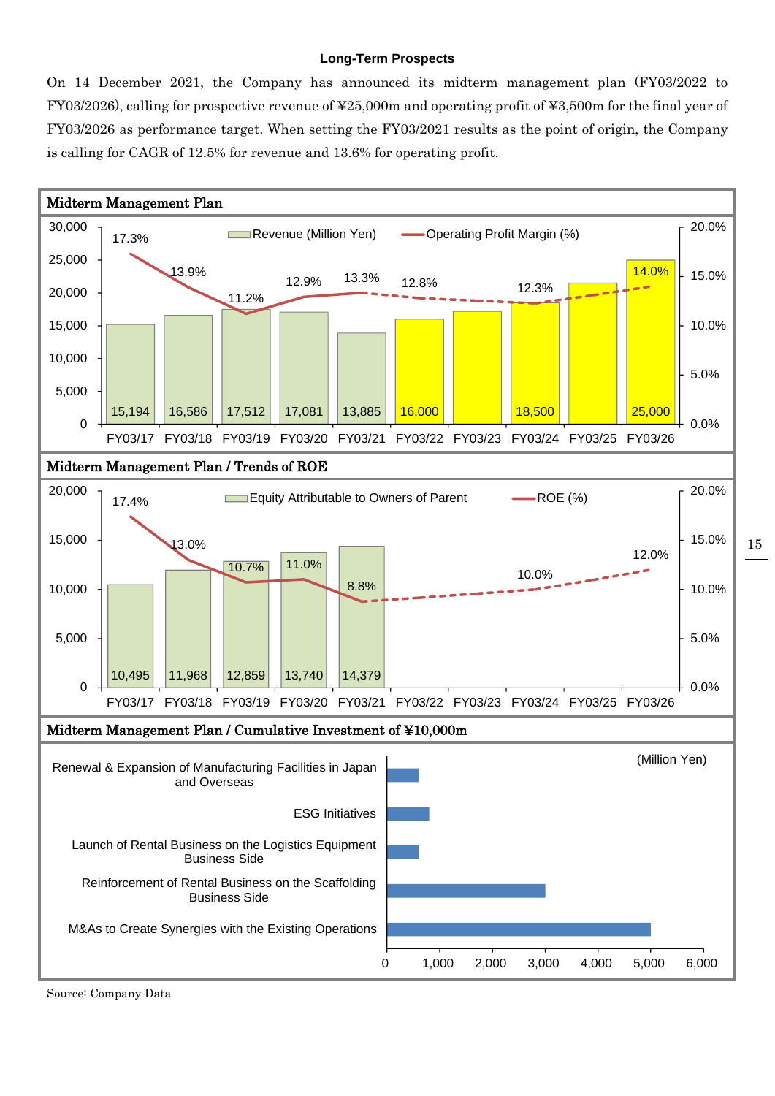#### **Long-Term Prospects**

On 14 December 2021, the Company has announced its midterm management plan (FY03/2022 to FY03/2026), calling for prospective revenue of ¥25,000m and operating profit of ¥3,500m for the final year of FY03/2026 as performance target. When setting the FY03/2021 results as the point of origin, the Company is calling for CAGR of 12.5% for revenue and 13.6% for operating profit.

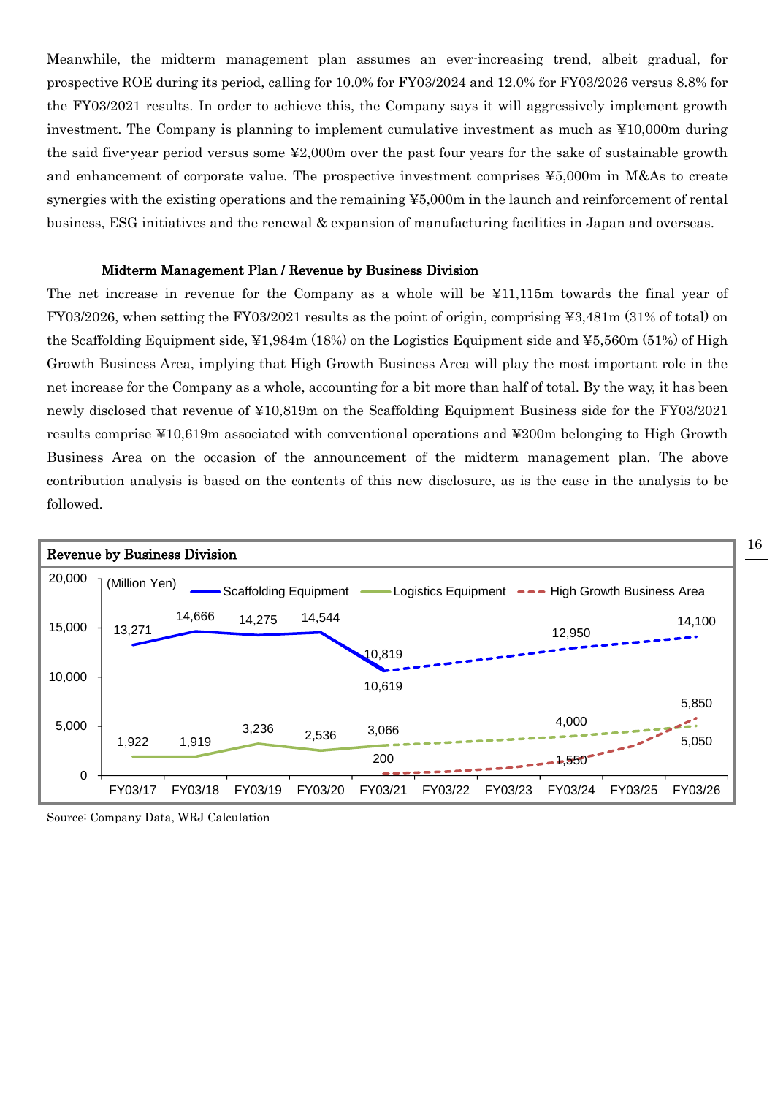Meanwhile, the midterm management plan assumes an ever-increasing trend, albeit gradual, for prospective ROE during its period, calling for 10.0% for FY03/2024 and 12.0% for FY03/2026 versus 8.8% for the FY03/2021 results. In order to achieve this, the Company says it will aggressively implement growth investment. The Company is planning to implement cumulative investment as much as ¥10,000m during the said five-year period versus some ¥2,000m over the past four years for the sake of sustainable growth and enhancement of corporate value. The prospective investment comprises ¥5,000m in M&As to create synergies with the existing operations and the remaining ¥5,000m in the launch and reinforcement of rental business, ESG initiatives and the renewal & expansion of manufacturing facilities in Japan and overseas.

#### Midterm Management Plan / Revenue by Business Division

The net increase in revenue for the Company as a whole will be ¥11,115m towards the final year of FY03/2026, when setting the FY03/2021 results as the point of origin, comprising ¥3,481m (31% of total) on the Scaffolding Equipment side, ¥1,984m (18%) on the Logistics Equipment side and ¥5,560m (51%) of High Growth Business Area, implying that High Growth Business Area will play the most important role in the net increase for the Company as a whole, accounting for a bit more than half of total. By the way, it has been newly disclosed that revenue of ¥10,819m on the Scaffolding Equipment Business side for the FY03/2021 results comprise ¥10,619m associated with conventional operations and ¥200m belonging to High Growth Business Area on the occasion of the announcement of the midterm management plan. The above contribution analysis is based on the contents of this new disclosure, as is the case in the analysis to be followed.



Source: Company Data, WRJ Calculation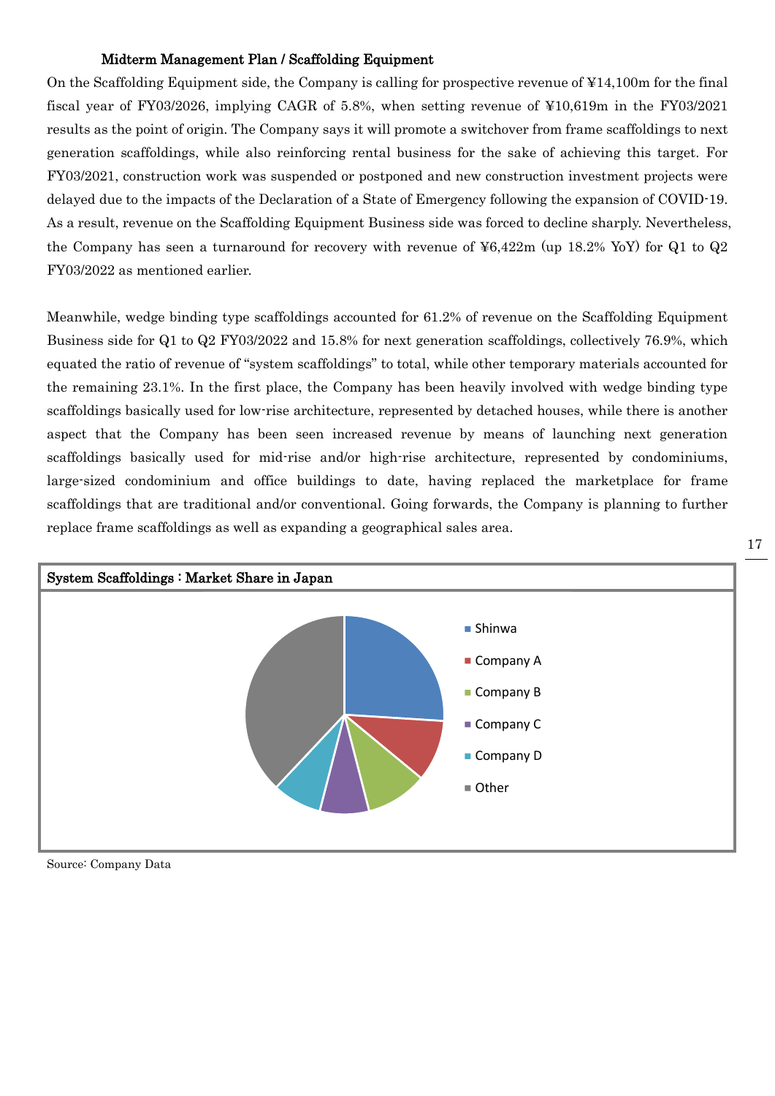#### Midterm Management Plan / Scaffolding Equipment

On the Scaffolding Equipment side, the Company is calling for prospective revenue of ¥14,100m for the final fiscal year of FY03/2026, implying CAGR of 5.8%, when setting revenue of ¥10,619m in the FY03/2021 results as the point of origin. The Company says it will promote a switchover from frame scaffoldings to next generation scaffoldings, while also reinforcing rental business for the sake of achieving this target. For FY03/2021, construction work was suspended or postponed and new construction investment projects were delayed due to the impacts of the Declaration of a State of Emergency following the expansion of COVID-19. As a result, revenue on the Scaffolding Equipment Business side was forced to decline sharply. Nevertheless, the Company has seen a turnaround for recovery with revenue of ¥6,422m (up 18.2% YoY) for Q1 to Q2 FY03/2022 as mentioned earlier.

Meanwhile, wedge binding type scaffoldings accounted for 61.2% of revenue on the Scaffolding Equipment Business side for Q1 to Q2 FY03/2022 and 15.8% for next generation scaffoldings, collectively 76.9%, which equated the ratio of revenue of "system scaffoldings" to total, while other temporary materials accounted for the remaining 23.1%. In the first place, the Company has been heavily involved with wedge binding type scaffoldings basically used for low-rise architecture, represented by detached houses, while there is another aspect that the Company has been seen increased revenue by means of launching next generation scaffoldings basically used for mid-rise and/or high-rise architecture, represented by condominiums, large-sized condominium and office buildings to date, having replaced the marketplace for frame scaffoldings that are traditional and/or conventional. Going forwards, the Company is planning to further replace frame scaffoldings as well as expanding a geographical sales area.



Source: Company Data

17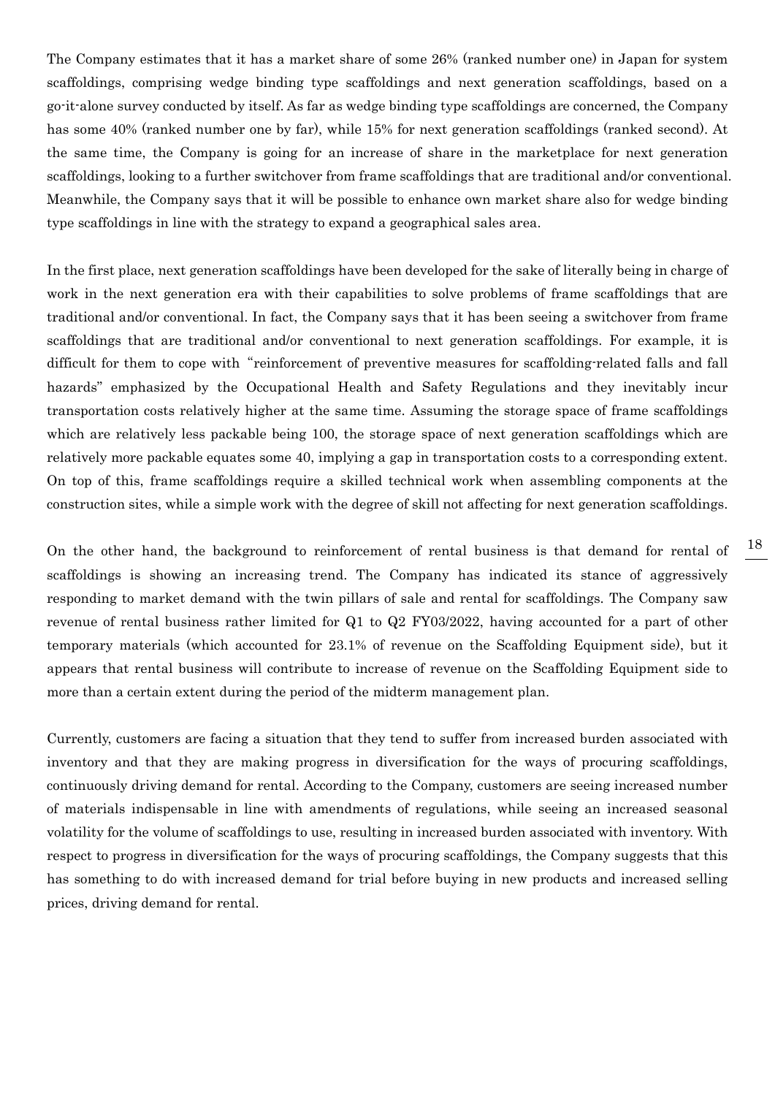The Company estimates that it has a market share of some 26% (ranked number one) in Japan for system scaffoldings, comprising wedge binding type scaffoldings and next generation scaffoldings, based on a go-it-alone survey conducted by itself. As far as wedge binding type scaffoldings are concerned, the Company has some 40% (ranked number one by far), while 15% for next generation scaffoldings (ranked second). At the same time, the Company is going for an increase of share in the marketplace for next generation scaffoldings, looking to a further switchover from frame scaffoldings that are traditional and/or conventional. Meanwhile, the Company says that it will be possible to enhance own market share also for wedge binding type scaffoldings in line with the strategy to expand a geographical sales area.

In the first place, next generation scaffoldings have been developed for the sake of literally being in charge of work in the next generation era with their capabilities to solve problems of frame scaffoldings that are traditional and/or conventional. In fact, the Company says that it has been seeing a switchover from frame scaffoldings that are traditional and/or conventional to next generation scaffoldings. For example, it is difficult for them to cope with "reinforcement of preventive measures for scaffolding-related falls and fall hazards" emphasized by the Occupational Health and Safety Regulations and they inevitably incur transportation costs relatively higher at the same time. Assuming the storage space of frame scaffoldings which are relatively less packable being 100, the storage space of next generation scaffoldings which are relatively more packable equates some 40, implying a gap in transportation costs to a corresponding extent. On top of this, frame scaffoldings require a skilled technical work when assembling components at the construction sites, while a simple work with the degree of skill not affecting for next generation scaffoldings.

On the other hand, the background to reinforcement of rental business is that demand for rental of scaffoldings is showing an increasing trend. The Company has indicated its stance of aggressively responding to market demand with the twin pillars of sale and rental for scaffoldings. The Company saw revenue of rental business rather limited for Q1 to Q2 FY03/2022, having accounted for a part of other temporary materials (which accounted for 23.1% of revenue on the Scaffolding Equipment side), but it appears that rental business will contribute to increase of revenue on the Scaffolding Equipment side to more than a certain extent during the period of the midterm management plan.

Currently, customers are facing a situation that they tend to suffer from increased burden associated with inventory and that they are making progress in diversification for the ways of procuring scaffoldings, continuously driving demand for rental. According to the Company, customers are seeing increased number of materials indispensable in line with amendments of regulations, while seeing an increased seasonal volatility for the volume of scaffoldings to use, resulting in increased burden associated with inventory. With respect to progress in diversification for the ways of procuring scaffoldings, the Company suggests that this has something to do with increased demand for trial before buying in new products and increased selling prices, driving demand for rental.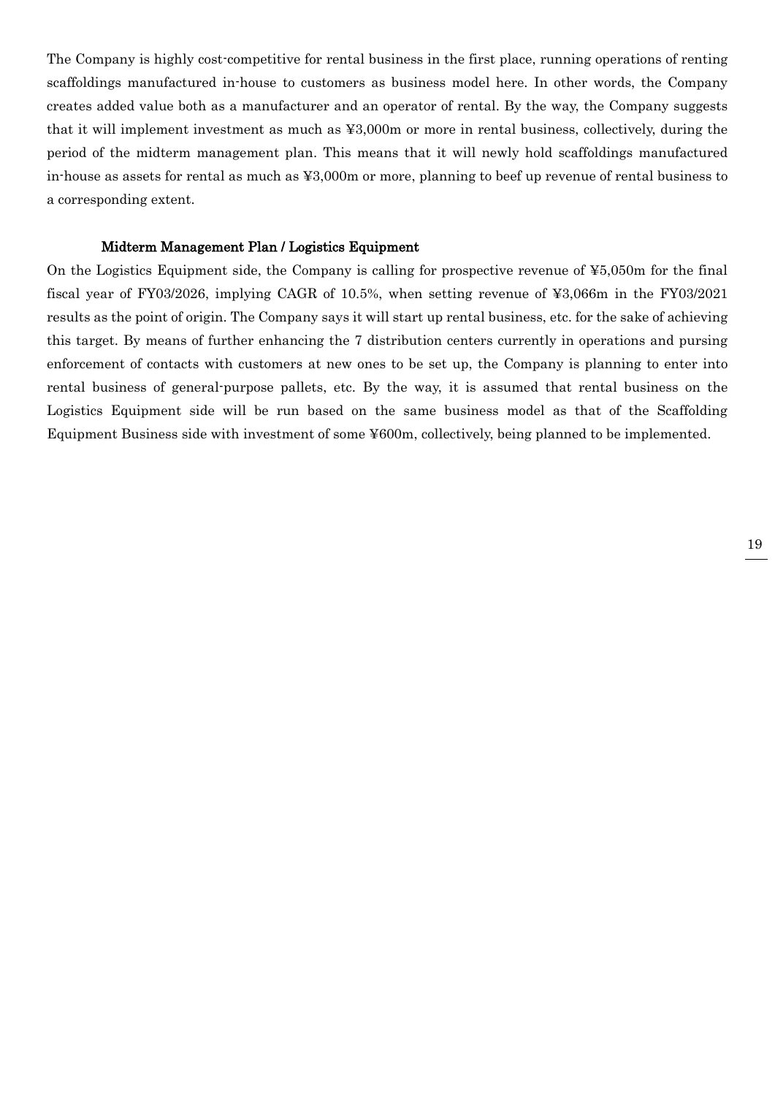The Company is highly cost-competitive for rental business in the first place, running operations of renting scaffoldings manufactured in-house to customers as business model here. In other words, the Company creates added value both as a manufacturer and an operator of rental. By the way, the Company suggests that it will implement investment as much as ¥3,000m or more in rental business, collectively, during the period of the midterm management plan. This means that it will newly hold scaffoldings manufactured in-house as assets for rental as much as ¥3,000m or more, planning to beef up revenue of rental business to a corresponding extent.

#### Midterm Management Plan / Logistics Equipment

On the Logistics Equipment side, the Company is calling for prospective revenue of  $\yen 5,050m$  for the final fiscal year of FY03/2026, implying CAGR of 10.5%, when setting revenue of ¥3,066m in the FY03/2021 results as the point of origin. The Company says it will start up rental business, etc. for the sake of achieving this target. By means of further enhancing the 7 distribution centers currently in operations and pursing enforcement of contacts with customers at new ones to be set up, the Company is planning to enter into rental business of general-purpose pallets, etc. By the way, it is assumed that rental business on the Logistics Equipment side will be run based on the same business model as that of the Scaffolding Equipment Business side with investment of some ¥600m, collectively, being planned to be implemented.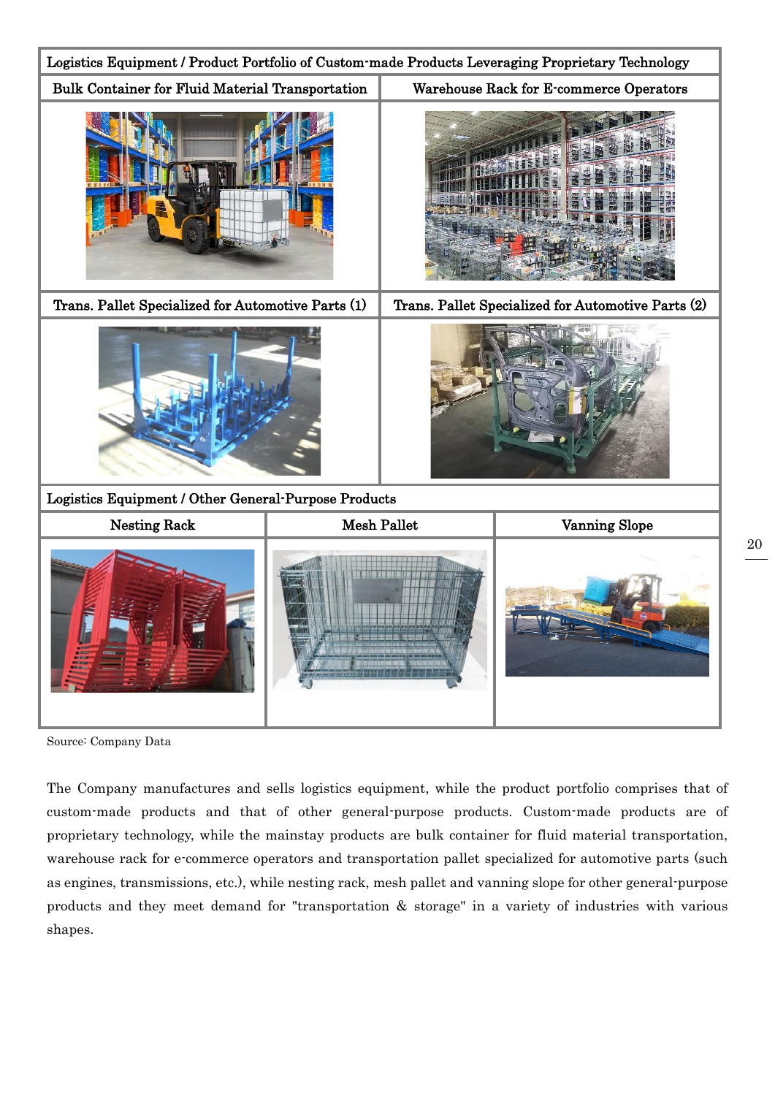

Source: Company Data

The Company manufactures and sells logistics equipment, while the product portfolio comprises that of custom-made products and that of other general-purpose products. Custom-made products are of proprietary technology, while the mainstay products are bulk container for fluid material transportation, warehouse rack for e-commerce operators and transportation pallet specialized for automotive parts (such as engines, transmissions, etc.), while nesting rack, mesh pallet and vanning slope for other general-purpose products and they meet demand for "transportation & storage" in a variety of industries with various shapes.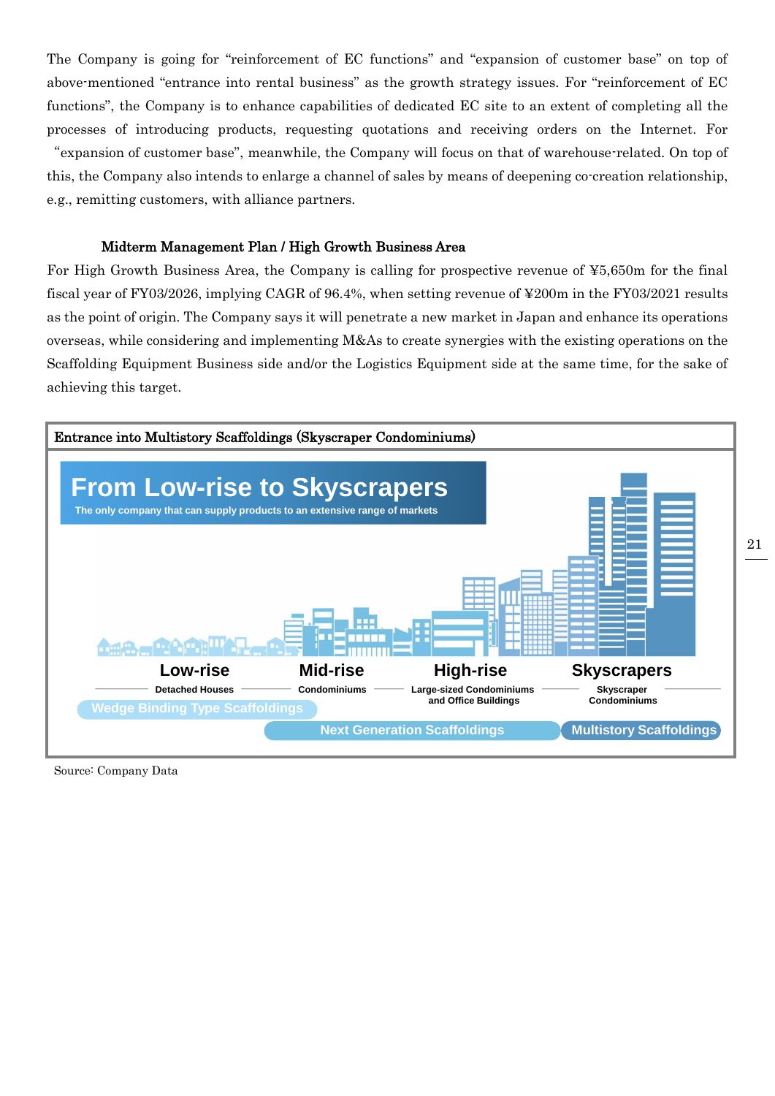The Company is going for "reinforcement of EC functions" and "expansion of customer base" on top of above-mentioned "entrance into rental business" as the growth strategy issues. For "reinforcement of EC functions", the Company is to enhance capabilities of dedicated EC site to an extent of completing all the processes of introducing products, requesting quotations and receiving orders on the Internet. For "expansion of customer base", meanwhile, the Company will focus on that of warehouse-related. On top of this, the Company also intends to enlarge a channel of sales by means of deepening co-creation relationship,

e.g., remitting customers, with alliance partners.

#### Midterm Management Plan / High Growth Business Area

For High Growth Business Area, the Company is calling for prospective revenue of ¥5,650m for the final fiscal year of FY03/2026, implying CAGR of 96.4%, when setting revenue of ¥200m in the FY03/2021 results as the point of origin. The Company says it will penetrate a new market in Japan and enhance its operations overseas, while considering and implementing M&As to create synergies with the existing operations on the Scaffolding Equipment Business side and/or the Logistics Equipment side at the same time, for the sake of achieving this target.



Source: Company Data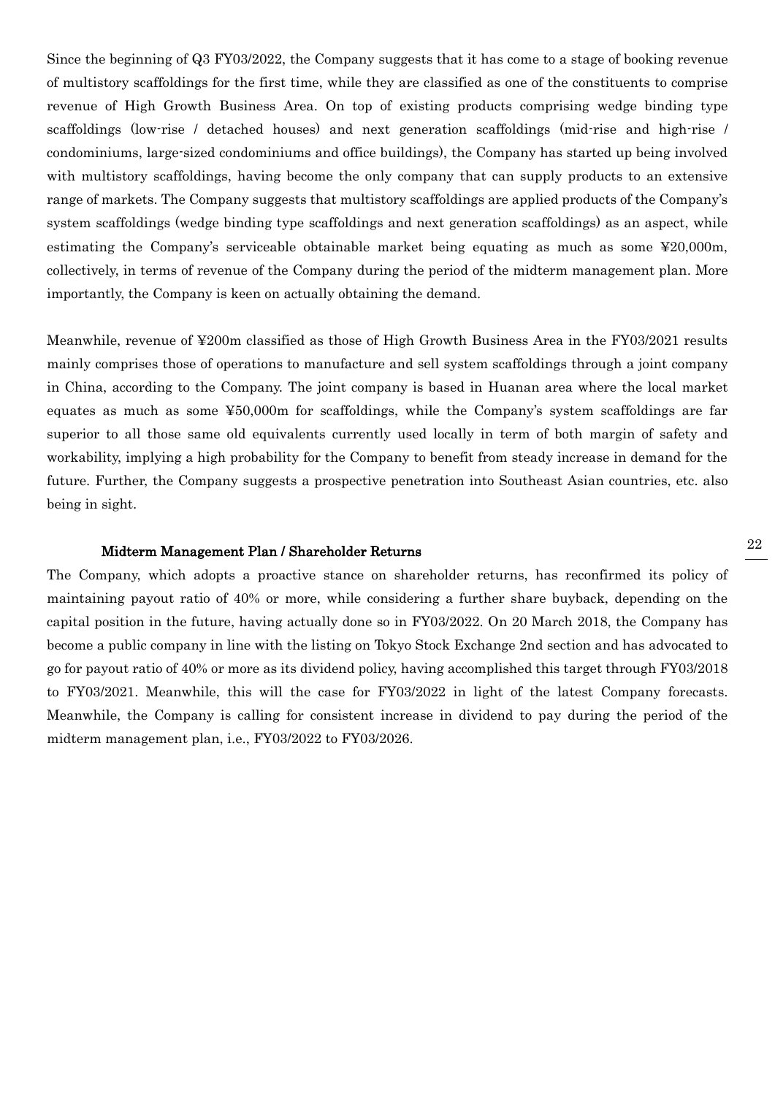Since the beginning of Q3 FY03/2022, the Company suggests that it has come to a stage of booking revenue of multistory scaffoldings for the first time, while they are classified as one of the constituents to comprise revenue of High Growth Business Area. On top of existing products comprising wedge binding type scaffoldings (low-rise / detached houses) and next generation scaffoldings (mid-rise and high-rise / condominiums, large-sized condominiums and office buildings), the Company has started up being involved with multistory scaffoldings, having become the only company that can supply products to an extensive range of markets. The Company suggests that multistory scaffoldings are applied products of the Company's system scaffoldings (wedge binding type scaffoldings and next generation scaffoldings) as an aspect, while estimating the Company's serviceable obtainable market being equating as much as some ¥20,000m, collectively, in terms of revenue of the Company during the period of the midterm management plan. More importantly, the Company is keen on actually obtaining the demand.

Meanwhile, revenue of ¥200m classified as those of High Growth Business Area in the FY03/2021 results mainly comprises those of operations to manufacture and sell system scaffoldings through a joint company in China, according to the Company. The joint company is based in Huanan area where the local market equates as much as some ¥50,000m for scaffoldings, while the Company's system scaffoldings are far superior to all those same old equivalents currently used locally in term of both margin of safety and workability, implying a high probability for the Company to benefit from steady increase in demand for the future. Further, the Company suggests a prospective penetration into Southeast Asian countries, etc. also being in sight.

#### Midterm Management Plan / Shareholder Returns

The Company, which adopts a proactive stance on shareholder returns, has reconfirmed its policy of maintaining payout ratio of 40% or more, while considering a further share buyback, depending on the capital position in the future, having actually done so in FY03/2022. On 20 March 2018, the Company has become a public company in line with the listing on Tokyo Stock Exchange 2nd section and has advocated to go for payout ratio of 40% or more as its dividend policy, having accomplished this target through FY03/2018 to FY03/2021. Meanwhile, this will the case for FY03/2022 in light of the latest Company forecasts. Meanwhile, the Company is calling for consistent increase in dividend to pay during the period of the midterm management plan, i.e., FY03/2022 to FY03/2026.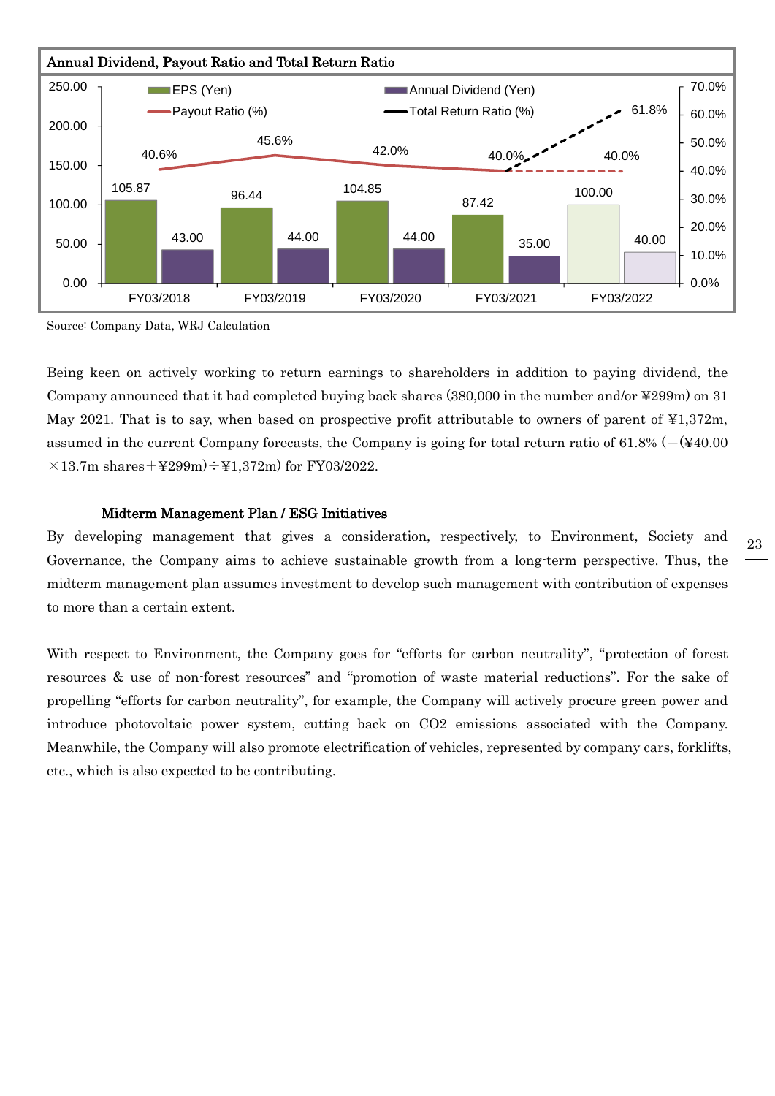

Source: Company Data, WRJ Calculation

Being keen on actively working to return earnings to shareholders in addition to paying dividend, the Company announced that it had completed buying back shares (380,000 in the number and/or ¥299m) on 31 May 2021. That is to say, when based on prospective profit attributable to owners of parent of ¥1,372m, assumed in the current Company forecasts, the Company is going for total return ratio of  $61.8\%$  (=( $\frac{1}{40.00}$ )  $\times$ 13.7m shares+¥299m)÷¥1,372m) for FY03/2022.

#### Midterm Management Plan / ESG Initiatives

By developing management that gives a consideration, respectively, to Environment, Society and Governance, the Company aims to achieve sustainable growth from a long-term perspective. Thus, the midterm management plan assumes investment to develop such management with contribution of expenses to more than a certain extent.

With respect to Environment, the Company goes for "efforts for carbon neutrality", "protection of forest resources & use of non-forest resources" and "promotion of waste material reductions". For the sake of propelling "efforts for carbon neutrality", for example, the Company will actively procure green power and introduce photovoltaic power system, cutting back on CO2 emissions associated with the Company. Meanwhile, the Company will also promote electrification of vehicles, represented by company cars, forklifts, etc., which is also expected to be contributing.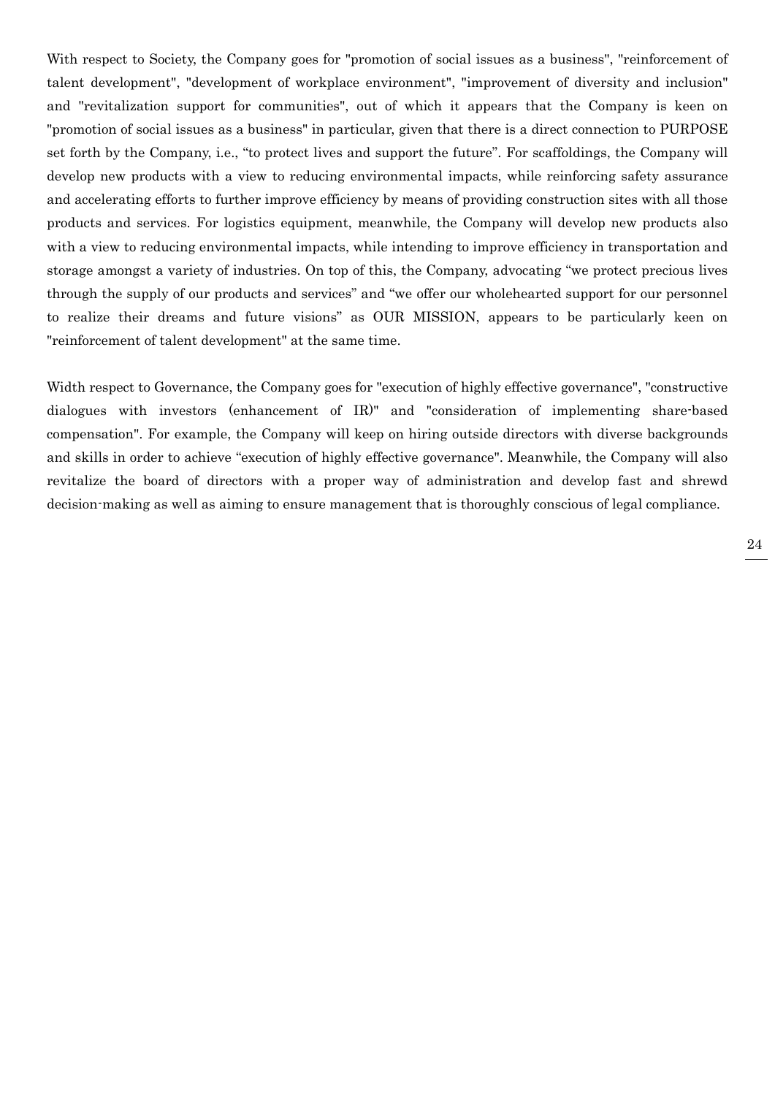With respect to Society, the Company goes for "promotion of social issues as a business", "reinforcement of talent development", "development of workplace environment", "improvement of diversity and inclusion" and "revitalization support for communities", out of which it appears that the Company is keen on "promotion of social issues as a business" in particular, given that there is a direct connection to PURPOSE set forth by the Company, i.e., "to protect lives and support the future". For scaffoldings, the Company will develop new products with a view to reducing environmental impacts, while reinforcing safety assurance and accelerating efforts to further improve efficiency by means of providing construction sites with all those products and services. For logistics equipment, meanwhile, the Company will develop new products also with a view to reducing environmental impacts, while intending to improve efficiency in transportation and storage amongst a variety of industries. On top of this, the Company, advocating "we protect precious lives through the supply of our products and services" and "we offer our wholehearted support for our personnel to realize their dreams and future visions" as OUR MISSION, appears to be particularly keen on "reinforcement of talent development" at the same time.

Width respect to Governance, the Company goes for "execution of highly effective governance", "constructive dialogues with investors (enhancement of IR)" and "consideration of implementing share-based compensation". For example, the Company will keep on hiring outside directors with diverse backgrounds and skills in order to achieve "execution of highly effective governance". Meanwhile, the Company will also revitalize the board of directors with a proper way of administration and develop fast and shrewd decision-making as well as aiming to ensure management that is thoroughly conscious of legal compliance.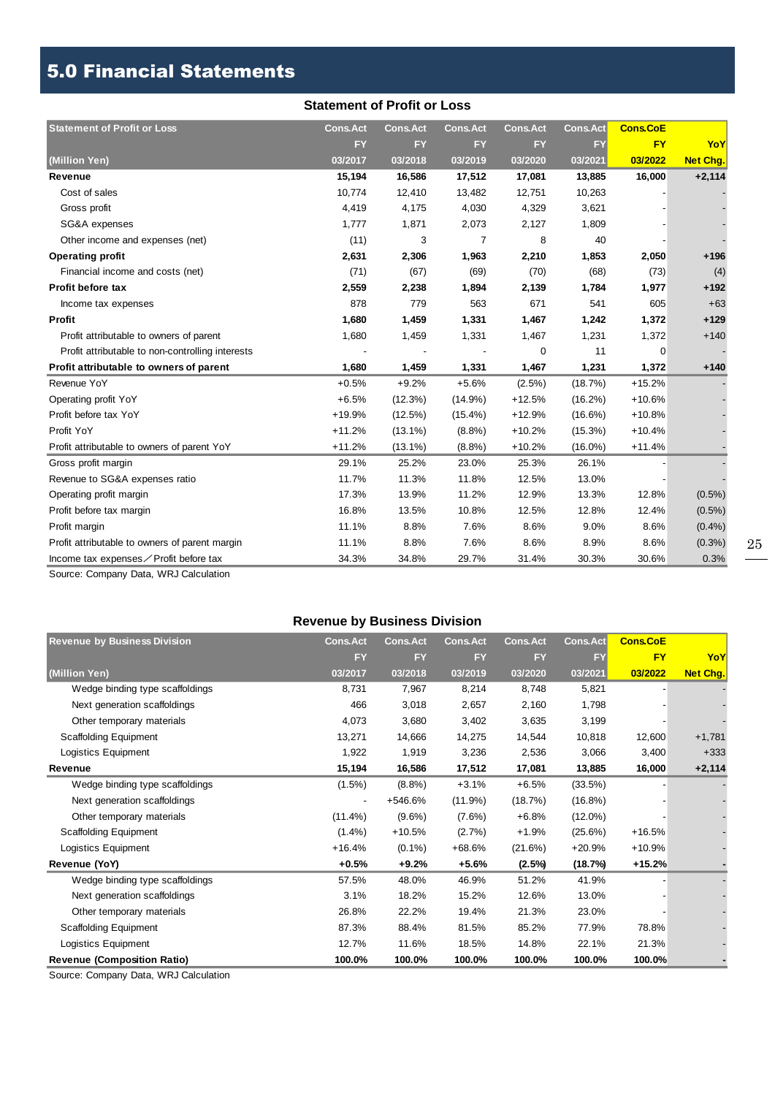## 5.0 Financial Statements

#### **Statement of Profit or Loss**

| <b>Statement of Profit or Loss</b>               | <b>Cons.Act</b> | <b>Cons.Act</b> | <b>Cons.Act</b> | <b>Cons.Act</b> | <b>Cons.Act</b> | <b>Cons.CoE</b> |                 |
|--------------------------------------------------|-----------------|-----------------|-----------------|-----------------|-----------------|-----------------|-----------------|
|                                                  | <b>FY</b>       | <b>FY</b>       | <b>FY</b>       | <b>FY</b>       | <b>FY</b>       | <b>FY</b>       | YoY             |
| (Million Yen)                                    | 03/2017         | 03/2018         | 03/2019         | 03/2020         | 03/2021         | 03/2022         | <b>Net Chg.</b> |
| Revenue                                          | 15,194          | 16,586          | 17,512          | 17,081          | 13,885          | 16,000          | $+2,114$        |
| Cost of sales                                    | 10,774          | 12,410          | 13,482          | 12,751          | 10,263          |                 |                 |
| Gross profit                                     | 4,419           | 4,175           | 4,030           | 4,329           | 3,621           |                 |                 |
| SG&A expenses                                    | 1,777           | 1,871           | 2,073           | 2,127           | 1,809           |                 |                 |
| Other income and expenses (net)                  | (11)            | 3               | 7               | 8               | 40              |                 |                 |
| <b>Operating profit</b>                          | 2,631           | 2,306           | 1,963           | 2,210           | 1,853           | 2,050           | $+196$          |
| Financial income and costs (net)                 | (71)            | (67)            | (69)            | (70)            | (68)            | (73)            | (4)             |
| <b>Profit before tax</b>                         | 2,559           | 2,238           | 1,894           | 2,139           | 1,784           | 1,977           | $+192$          |
| Income tax expenses                              | 878             | 779             | 563             | 671             | 541             | 605             | $+63$           |
| Profit                                           | 1,680           | 1,459           | 1,331           | 1,467           | 1,242           | 1,372           | $+129$          |
| Profit attributable to owners of parent          | 1,680           | 1,459           | 1,331           | 1,467           | 1,231           | 1,372           | $+140$          |
| Profit attributable to non-controlling interests |                 |                 |                 | 0               | 11              | $\Omega$        |                 |
| Profit attributable to owners of parent          | 1,680           | 1,459           | 1,331           | 1,467           | 1,231           | 1,372           | $+140$          |
| Revenue YoY                                      | $+0.5%$         | $+9.2%$         | $+5.6%$         | $(2.5\%)$       | (18.7%)         | $+15.2%$        |                 |
| Operating profit YoY                             | $+6.5%$         | (12.3%)         | $(14.9\%)$      | $+12.5%$        | $(16.2\%)$      | $+10.6%$        |                 |
| Profit before tax YoY                            | +19.9%          | $(12.5\%)$      | $(15.4\%)$      | $+12.9%$        | $(16.6\%)$      | $+10.8%$        |                 |
| Profit YoY                                       | $+11.2%$        | $(13.1\%)$      | $(8.8\%)$       | $+10.2%$        | $(15.3\%)$      | $+10.4%$        |                 |
| Profit attributable to owners of parent YoY      | $+11.2%$        | $(13.1\%)$      | $(8.8\%)$       | $+10.2%$        | $(16.0\%)$      | $+11.4%$        |                 |
| Gross profit margin                              | 29.1%           | 25.2%           | 23.0%           | 25.3%           | 26.1%           |                 |                 |
| Revenue to SG&A expenses ratio                   | 11.7%           | 11.3%           | 11.8%           | 12.5%           | 13.0%           |                 |                 |
| Operating profit margin                          | 17.3%           | 13.9%           | 11.2%           | 12.9%           | 13.3%           | 12.8%           | $(0.5\%)$       |
| Profit before tax margin                         | 16.8%           | 13.5%           | 10.8%           | 12.5%           | 12.8%           | 12.4%           | $(0.5\%)$       |
| Profit margin                                    | 11.1%           | 8.8%            | 7.6%            | 8.6%            | 9.0%            | 8.6%            | $(0.4\%)$       |
| Profit attributable to owners of parent margin   | 11.1%           | 8.8%            | 7.6%            | 8.6%            | 8.9%            | 8.6%            | $(0.3\%)$       |
| Income tax expenses∕Profit before tax            | 34.3%           | 34.8%           | 29.7%           | 31.4%           | 30.3%           | 30.6%           | 0.3%            |

Source: Company Data, WRJ Calculation

#### **Revenue by Business Division**

| <b>Revenue by Business Division</b> | <b>Cons.Act</b> | <b>Cons.Act</b> | <b>Cons.Act</b> | <b>Cons.Act</b> | <b>Cons.Act</b> | <b>Cons.CoE</b> |                 |
|-------------------------------------|-----------------|-----------------|-----------------|-----------------|-----------------|-----------------|-----------------|
|                                     | <b>FY</b>       | <b>FY</b>       | <b>FY</b>       | <b>FY</b>       | <b>FY</b>       | <b>FY</b>       | YoY             |
| (Million Yen)                       | 03/2017         | 03/2018         | 03/2019         | 03/2020         | 03/2021         | 03/2022         | <b>Net Chg.</b> |
| Wedge binding type scaffoldings     | 8,731           | 7,967           | 8,214           | 8,748           | 5,821           |                 |                 |
| Next generation scaffoldings        | 466             | 3,018           | 2,657           | 2,160           | 1,798           |                 |                 |
| Other temporary materials           | 4,073           | 3,680           | 3,402           | 3,635           | 3,199           |                 |                 |
| <b>Scaffolding Equipment</b>        | 13,271          | 14,666          | 14,275          | 14,544          | 10,818          | 12,600          | $+1,781$        |
| Logistics Equipment                 | 1,922           | 1,919           | 3,236           | 2,536           | 3,066           | 3,400           | $+333$          |
| Revenue                             | 15,194          | 16,586          | 17,512          | 17,081          | 13,885          | 16,000          | $+2,114$        |
| Wedge binding type scaffoldings     | $(1.5\%)$       | (8.8%)          | $+3.1%$         | $+6.5%$         | (33.5%)         |                 |                 |
| Next generation scaffoldings        |                 | +546.6%         | $(11.9\%)$      | (18.7%)         | $(16.8\%)$      |                 |                 |
| Other temporary materials           | $(11.4\%)$      | $(9.6\%)$       | $(7.6\%)$       | $+6.8%$         | $(12.0\%)$      |                 |                 |
| <b>Scaffolding Equipment</b>        | $(1.4\%)$       | $+10.5%$        | (2.7%)          | $+1.9%$         | (25.6%)         | $+16.5%$        |                 |
| Logistics Equipment                 | $+16.4%$        | $(0.1\%)$       | +68.6%          | (21.6%)         | $+20.9%$        | $+10.9%$        |                 |
| Revenue (YoY)                       | $+0.5%$         | $+9.2%$         | $+5.6%$         | $(2.5\%)$       | (18.7%)         | $+15.2%$        |                 |
| Wedge binding type scaffoldings     | 57.5%           | 48.0%           | 46.9%           | 51.2%           | 41.9%           |                 |                 |
| Next generation scaffoldings        | 3.1%            | 18.2%           | 15.2%           | 12.6%           | 13.0%           |                 |                 |
| Other temporary materials           | 26.8%           | 22.2%           | 19.4%           | 21.3%           | 23.0%           |                 |                 |
| <b>Scaffolding Equipment</b>        | 87.3%           | 88.4%           | 81.5%           | 85.2%           | 77.9%           | 78.8%           |                 |
| Logistics Equipment                 | 12.7%           | 11.6%           | 18.5%           | 14.8%           | 22.1%           | 21.3%           |                 |
| <b>Revenue (Composition Ratio)</b>  | 100.0%          | 100.0%          | 100.0%          | 100.0%          | 100.0%          | 100.0%          |                 |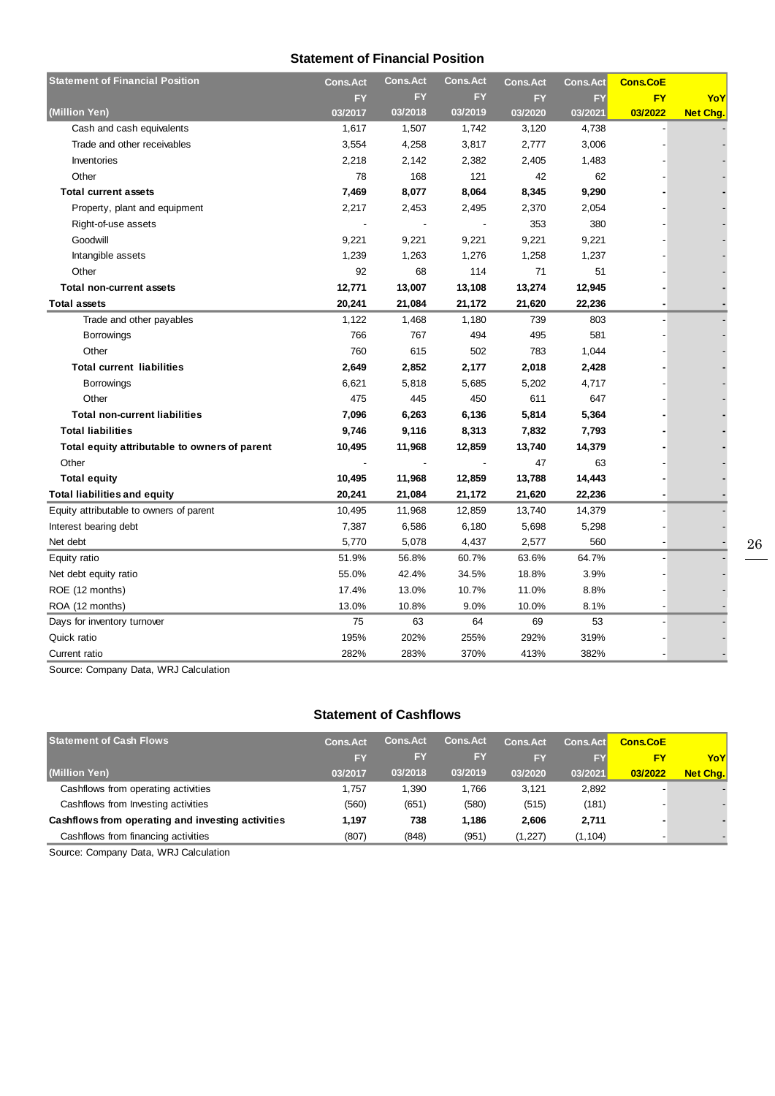#### **Statement of Financial Position**

| <b>Statement of Financial Position</b>        | <b>Cons.Act</b> | <b>Cons.Act</b> | <b>Cons.Act</b> | <b>Cons.Act</b> | <b>Cons.Act</b> | <b>Cons.CoE</b> |                 |
|-----------------------------------------------|-----------------|-----------------|-----------------|-----------------|-----------------|-----------------|-----------------|
|                                               | FY              | <b>FY</b>       | FY              | <b>FY</b>       | FY              | <b>FY</b>       | YoY             |
| (Million Yen)                                 | 03/2017         | 03/2018         | 03/2019         | 03/2020         | 03/2021         | 03/2022         | <b>Net Chg.</b> |
| Cash and cash equivalents                     | 1,617           | 1,507           | 1,742           | 3,120           | 4,738           |                 |                 |
| Trade and other receivables                   | 3,554           | 4,258           | 3,817           | 2,777           | 3,006           |                 |                 |
| Inventories                                   | 2,218           | 2,142           | 2,382           | 2,405           | 1,483           |                 |                 |
| Other                                         | 78              | 168             | 121             | 42              | 62              |                 |                 |
| <b>Total current assets</b>                   | 7,469           | 8,077           | 8,064           | 8,345           | 9,290           |                 |                 |
| Property, plant and equipment                 | 2,217           | 2,453           | 2,495           | 2,370           | 2,054           |                 |                 |
| Right-of-use assets                           |                 |                 |                 | 353             | 380             |                 |                 |
| Goodwill                                      | 9,221           | 9,221           | 9,221           | 9,221           | 9,221           |                 |                 |
| Intangible assets                             | 1,239           | 1,263           | 1,276           | 1,258           | 1,237           |                 |                 |
| Other                                         | 92              | 68              | 114             | 71              | 51              |                 |                 |
| <b>Total non-current assets</b>               | 12,771          | 13,007          | 13,108          | 13,274          | 12,945          |                 |                 |
| <b>Total assets</b>                           | 20,241          | 21,084          | 21,172          | 21,620          | 22,236          |                 |                 |
| Trade and other payables                      | 1,122           | 1,468           | 1,180           | 739             | 803             |                 |                 |
| <b>Borrowings</b>                             | 766             | 767             | 494             | 495             | 581             |                 |                 |
| Other                                         | 760             | 615             | 502             | 783             | 1,044           |                 |                 |
| <b>Total current liabilities</b>              | 2,649           | 2,852           | 2,177           | 2,018           | 2,428           |                 |                 |
| <b>Borrowings</b>                             | 6,621           | 5,818           | 5,685           | 5,202           | 4,717           |                 |                 |
| Other                                         | 475             | 445             | 450             | 611             | 647             |                 |                 |
| <b>Total non-current liabilities</b>          | 7,096           | 6,263           | 6,136           | 5,814           | 5,364           |                 |                 |
| <b>Total liabilities</b>                      | 9,746           | 9,116           | 8,313           | 7,832           | 7,793           |                 |                 |
| Total equity attributable to owners of parent | 10,495          | 11,968          | 12,859          | 13,740          | 14,379          |                 |                 |
| Other                                         |                 |                 |                 | 47              | 63              |                 |                 |
| <b>Total equity</b>                           | 10,495          | 11,968          | 12,859          | 13,788          | 14,443          |                 |                 |
| Total liabilities and equity                  | 20,241          | 21,084          | 21,172          | 21,620          | 22,236          |                 |                 |
| Equity attributable to owners of parent       | 10,495          | 11,968          | 12,859          | 13,740          | 14,379          |                 |                 |
| Interest bearing debt                         | 7,387           | 6,586           | 6,180           | 5,698           | 5,298           |                 |                 |
| Net debt                                      | 5,770           | 5,078           | 4,437           | 2,577           | 560             |                 |                 |
| Equity ratio                                  | 51.9%           | 56.8%           | 60.7%           | 63.6%           | 64.7%           |                 |                 |
| Net debt equity ratio                         | 55.0%           | 42.4%           | 34.5%           | 18.8%           | 3.9%            |                 |                 |
| ROE (12 months)                               | 17.4%           | 13.0%           | 10.7%           | 11.0%           | 8.8%            |                 |                 |
| ROA (12 months)                               | 13.0%           | 10.8%           | 9.0%            | 10.0%           | 8.1%            |                 |                 |
| Days for inventory turnover                   | 75              | 63              | 64              | 69              | 53              |                 |                 |
| Quick ratio                                   | 195%            | 202%            | 255%            | 292%            | 319%            |                 |                 |
| Current ratio                                 | 282%            | 283%            | 370%            | 413%            | 382%            |                 |                 |

Source: Company Data, WRJ Calculation

#### **Statement of Cashflows**

| <b>Statement of Cash Flows</b>                    | <b>Cons.Act</b> | <b>Cons.Act</b> | <b>Cons.Act</b> | <b>Cons.Act</b> | <b>Cons.Act</b> | <b>Cons.CoE</b> |          |
|---------------------------------------------------|-----------------|-----------------|-----------------|-----------------|-----------------|-----------------|----------|
|                                                   | <b>FY</b>       | FY              | <b>FY</b>       | FY              | FY              | FY              | YoY      |
| (Million Yen)                                     | 03/2017         | 03/2018         | 03/2019         | 03/2020         | 03/2021         | 03/2022         | Net Chg. |
| Cashflows from operating activities               | 1.757           | 1.390           | 1.766           | 3.121           | 2,892           |                 |          |
| Cashflows from Investing activities               | (560)           | (651)           | (580)           | (515)           | (181)           |                 |          |
| Cashflows from operating and investing activities | 1.197           | 738             | 1.186           | 2.606           | 2,711           |                 |          |
| Cashflows from financing activities               | (807)           | (848)           | (951)           | (1,227)         | (1, 104)        |                 |          |